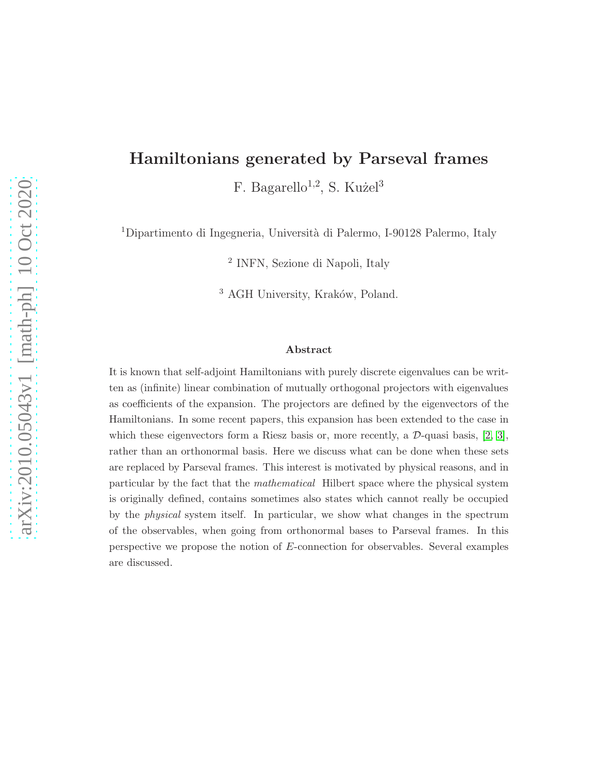# Hamiltonians generated by Parseval frames

F. Bagarello<sup>1,2</sup>, S. Kużel<sup>3</sup>

<sup>1</sup>Dipartimento di Ingegneria, Università di Palermo, I-90128 Palermo, Italy

2 INFN, Sezione di Napoli, Italy

 $3$  AGH University, Kraków, Poland.

#### Abstract

It is known that self-adjoint Hamiltonians with purely discrete eigenvalues can be written as (infinite) linear combination of mutually orthogonal projectors with eigenvalues as coefficients of the expansion. The projectors are defined by the eigenvectors of the Hamiltonians. In some recent papers, this expansion has been extended to the case in which these eigenvectors form a Riesz basis or, more recently, a  $\mathcal{D}\text{-quasi basis}$ , [\[2,](#page-19-0) [3\]](#page-19-1), rather than an orthonormal basis. Here we discuss what can be done when these sets are replaced by Parseval frames. This interest is motivated by physical reasons, and in particular by the fact that the mathematical Hilbert space where the physical system is originally defined, contains sometimes also states which cannot really be occupied by the physical system itself. In particular, we show what changes in the spectrum of the observables, when going from orthonormal bases to Parseval frames. In this perspective we propose the notion of E-connection for observables. Several examples are discussed.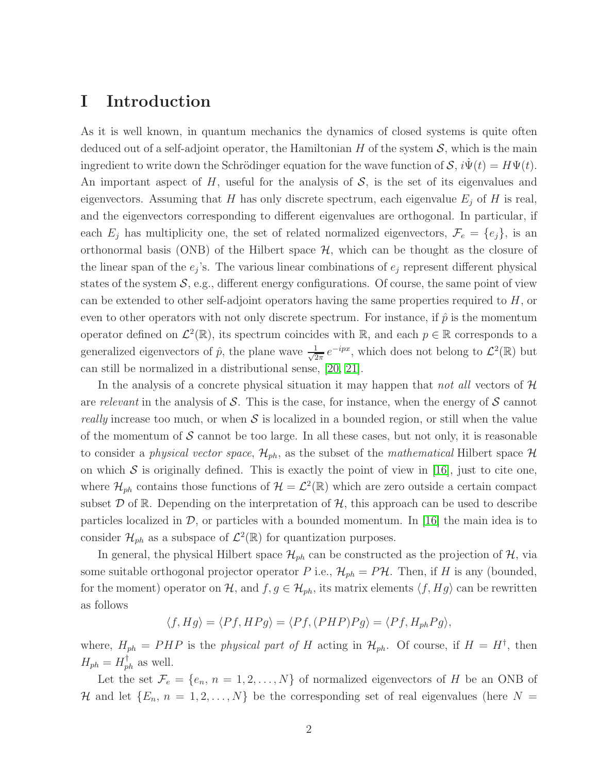### I Introduction

As it is well known, in quantum mechanics the dynamics of closed systems is quite often deduced out of a self-adjoint operator, the Hamiltonian  $H$  of the system  $S$ , which is the main ingredient to write down the Schrödinger equation for the wave function of  $S$ ,  $i\Psi(t) = H\Psi(t)$ . An important aspect of H, useful for the analysis of  $S$ , is the set of its eigenvalues and eigenvectors. Assuming that H has only discrete spectrum, each eigenvalue  $E_j$  of H is real, and the eigenvectors corresponding to different eigenvalues are orthogonal. In particular, if each  $E_j$  has multiplicity one, the set of related normalized eigenvectors,  $\mathcal{F}_e = \{e_j\}$ , is an orthonormal basis (ONB) of the Hilbert space  $H$ , which can be thought as the closure of the linear span of the  $e_j$ 's. The various linear combinations of  $e_j$  represent different physical states of the system  $S$ , e.g., different energy configurations. Of course, the same point of view can be extended to other self-adjoint operators having the same properties required to H, or even to other operators with not only discrete spectrum. For instance, if  $\hat{p}$  is the momentum operator defined on  $\mathcal{L}^2(\mathbb{R})$ , its spectrum coincides with  $\mathbb{R}$ , and each  $p \in \mathbb{R}$  corresponds to a generalized eigenvectors of  $\hat{p}$ , the plane wave  $\frac{1}{\sqrt{2}}$  $\frac{1}{2\pi}e^{-ipx}$ , which does not belong to  $\mathcal{L}^2(\mathbb{R})$  but can still be normalized in a distributional sense, [\[20,](#page-20-0) [21\]](#page-20-1).

In the analysis of a concrete physical situation it may happen that *not all* vectors of H are *relevant* in the analysis of  $S$ . This is the case, for instance, when the energy of  $S$  cannot *really* increase too much, or when  $S$  is localized in a bounded region, or still when the value of the momentum of  $S$  cannot be too large. In all these cases, but not only, it is reasonable to consider a *physical vector space*,  $\mathcal{H}_{ph}$ , as the subset of the *mathematical* Hilbert space  $\mathcal{H}$ on which  $S$  is originally defined. This is exactly the point of view in [\[16\]](#page-20-2), just to cite one, where  $\mathcal{H}_{ph}$  contains those functions of  $\mathcal{H} = \mathcal{L}^2(\mathbb{R})$  which are zero outside a certain compact subset  $\mathcal D$  of  $\mathbb R$ . Depending on the interpretation of  $\mathcal H$ , this approach can be used to describe particles localized in  $\mathcal{D}$ , or particles with a bounded momentum. In [\[16\]](#page-20-2) the main idea is to consider  $\mathcal{H}_{ph}$  as a subspace of  $\mathcal{L}^2(\mathbb{R})$  for quantization purposes.

In general, the physical Hilbert space  $\mathcal{H}_{ph}$  can be constructed as the projection of  $\mathcal{H}$ , via some suitable orthogonal projector operator P i.e.,  $\mathcal{H}_{ph} = P\mathcal{H}$ . Then, if H is any (bounded, for the moment) operator on H, and  $f, g \in \mathcal{H}_{ph}$ , its matrix elements  $\langle f, Hg \rangle$  can be rewritten as follows

$$
\langle f, Hg \rangle = \langle Pf, HPg \rangle = \langle Pf, (PHP)Pg \rangle = \langle Pf, H_{ph}Pg \rangle,
$$

where,  $H_{ph} = PHP$  is the *physical part of* H acting in  $\mathcal{H}_{ph}$ . Of course, if  $H = H^{\dagger}$ , then  $H_{ph} = H_{ph}^{\dagger}$  as well.

Let the set  $\mathcal{F}_e = \{e_n, n = 1, 2, \ldots, N\}$  of normalized eigenvectors of H be an ONB of H and let  $\{E_n, n = 1, 2, ..., N\}$  be the corresponding set of real eigenvalues (here  $N =$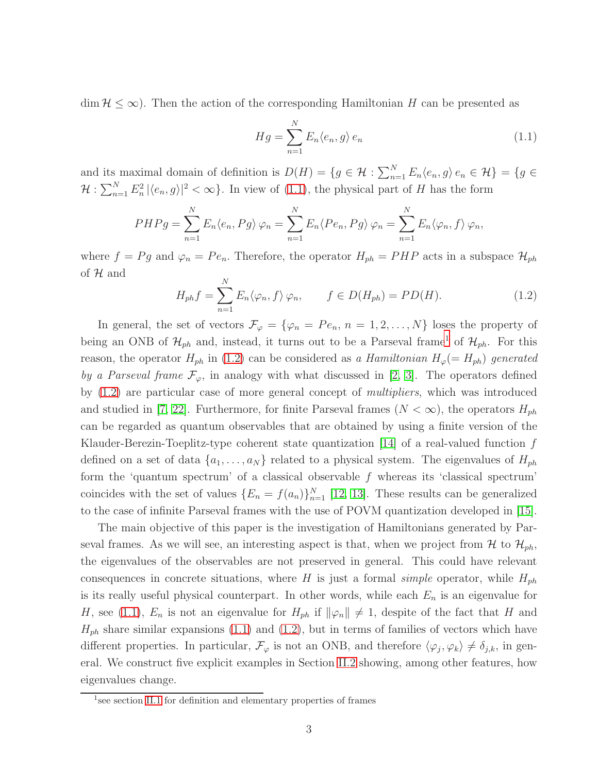$\dim \mathcal{H} \leq \infty$ ). Then the action of the corresponding Hamiltonian H can be presented as

<span id="page-2-0"></span>
$$
Hg = \sum_{n=1}^{N} E_n \langle e_n, g \rangle e_n \tag{1.1}
$$

and its maximal domain of definition is  $D(H) = \{g \in \mathcal{H} : \sum_{n=1}^{N} E_n \langle e_n, g \rangle e_n \in \mathcal{H} \} = \{g \in$  $\mathcal{H}: \sum_{n=1}^N E_n^2 |\langle e_n, g \rangle|^2 < \infty$ . In view of [\(1.1\)](#page-2-0), the physical part of H has the form

$$
PHPg = \sum_{n=1}^{N} E_n \langle e_n, Pg \rangle \varphi_n = \sum_{n=1}^{N} E_n \langle Pe_n, Pg \rangle \varphi_n = \sum_{n=1}^{N} E_n \langle \varphi_n, f \rangle \varphi_n,
$$

where  $f = Pg$  and  $\varphi_n = Pe_n$ . Therefore, the operator  $H_{ph} = PHP$  acts in a subspace  $\mathcal{H}_{ph}$ of  $H$  and

<span id="page-2-2"></span>
$$
H_{ph}f = \sum_{n=1}^{N} E_n \langle \varphi_n, f \rangle \varphi_n, \qquad f \in D(H_{ph}) = PD(H). \tag{1.2}
$$

In general, the set of vectors  $\mathcal{F}_{\varphi} = {\varphi_n = Pe_n, n = 1, 2, ..., N}$  loses the property of being an ONB of  $\mathcal{H}_{ph}$  and, instead, it turns out to be a Parseval frame<sup>[1](#page-2-1)</sup> of  $\mathcal{H}_{ph}$ . For this reason, the operator  $H_{ph}$  in [\(1.2\)](#page-2-2) can be considered as *a Hamiltonian*  $H_{\varphi} (= H_{ph})$  generated *by a Parseval frame*  $\mathcal{F}_{\varphi}$ , in analogy with what discussed in [\[2,](#page-19-0) [3\]](#page-19-1). The operators defined by [\(1.2\)](#page-2-2) are particular case of more general concept of *multipliers*, which was introduced and studied in [\[7,](#page-19-2) [22\]](#page-20-3). Furthermore, for finite Parseval frames  $(N < \infty)$ , the operators  $H_{ph}$ can be regarded as quantum observables that are obtained by using a finite version of the Klauder-Berezin-Toeplitz-type coherent state quantization [\[14\]](#page-20-4) of a real-valued function  $f$ defined on a set of data  $\{a_1, \ldots, a_N\}$  related to a physical system. The eigenvalues of  $H_{ph}$ form the 'quantum spectrum' of a classical observable  $f$  whereas its 'classical spectrum' coincides with the set of values  $\{E_n = f(a_n)\}_{n=1}^N$  [\[12,](#page-20-5) [13\]](#page-20-6). These results can be generalized to the case of infinite Parseval frames with the use of POVM quantization developed in [\[15\]](#page-20-7).

The main objective of this paper is the investigation of Hamiltonians generated by Parseval frames. As we will see, an interesting aspect is that, when we project from  $\mathcal{H}$  to  $\mathcal{H}_{ph}$ , the eigenvalues of the observables are not preserved in general. This could have relevant consequences in concrete situations, where H is just a formal *simple* operator, while  $H_{ph}$ is its really useful physical counterpart. In other words, while each  $E_n$  is an eigenvalue for H, see [\(1.1\)](#page-2-0),  $E_n$  is not an eigenvalue for  $H_{ph}$  if  $\|\varphi_n\| \neq 1$ , despite of the fact that H and  $H_{ph}$  share similar expansions [\(1.1\)](#page-2-0) and [\(1.2\)](#page-2-2), but in terms of families of vectors which have different properties. In particular,  $\mathcal{F}_{\varphi}$  is not an ONB, and therefore  $\langle \varphi_j, \varphi_k \rangle \neq \delta_{j,k}$ , in general. We construct five explicit examples in Section [II.2](#page-5-0) showing, among other features, how eigenvalues change.

<span id="page-2-1"></span><sup>&</sup>lt;sup>1</sup> see section [II.1](#page-3-0) for definition and elementary properties of frames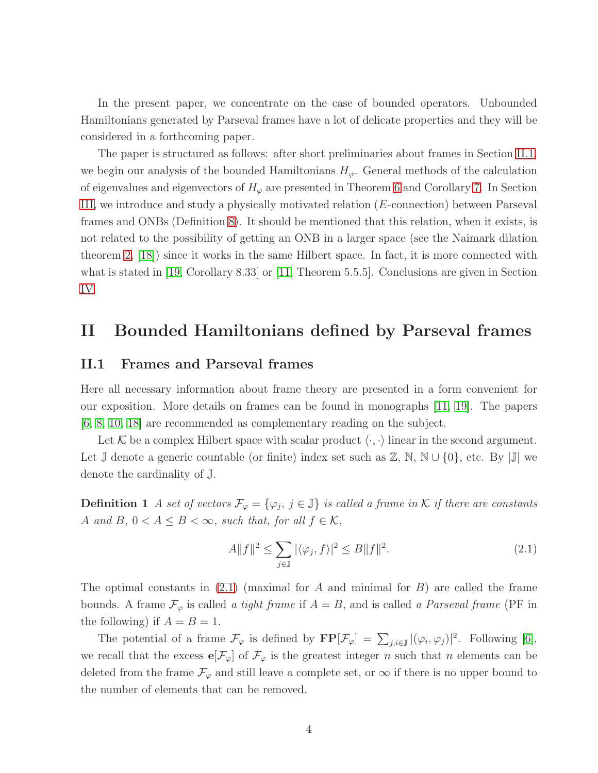In the present paper, we concentrate on the case of bounded operators. Unbounded Hamiltonians generated by Parseval frames have a lot of delicate properties and they will be considered in a forthcoming paper.

The paper is structured as follows: after short preliminaries about frames in Section [II.1,](#page-3-0) we begin our analysis of the bounded Hamiltonians  $H_{\varphi}$ . General methods of the calculation of eigenvalues and eigenvectors of  $H_{\varphi}$  are presented in Theorem [6](#page-5-1) and Corollary [7.](#page-6-0) In Section [III,](#page-16-0) we introduce and study a physically motivated relation (E-connection) between Parseval frames and ONBs (Definition [8\)](#page-16-1). It should be mentioned that this relation, when it exists, is not related to the possibility of getting an ONB in a larger space (see the Naimark dilation theorem [2,](#page-4-0) [\[18\]](#page-20-8)) since it works in the same Hilbert space. In fact, it is more connected with what is stated in [\[19,](#page-20-9) Corollary 8.33] or [\[11,](#page-20-10) Theorem 5.5.5]. Conclusions are given in Section [IV.](#page-18-0)

### <span id="page-3-0"></span>II Bounded Hamiltonians defined by Parseval frames

#### II.1 Frames and Parseval frames

Here all necessary information about frame theory are presented in a form convenient for our exposition. More details on frames can be found in monographs [\[11,](#page-20-10) [19\]](#page-20-9). The papers [\[6,](#page-19-3) [8,](#page-19-4) [10,](#page-19-5) [18\]](#page-20-8) are recommended as complementary reading on the subject.

Let K be a complex Hilbert space with scalar product  $\langle \cdot, \cdot \rangle$  linear in the second argument. Let J denote a generic countable (or finite) index set such as  $\mathbb{Z}, \mathbb{N}, \mathbb{N} \cup \{0\}$ , etc. By  $|\mathbb{J}|$  we denote the cardinality of J.

**Definition 1** *A set of vectors*  $\mathcal{F}_{\varphi} = \{\varphi_j, j \in \mathbb{J}\}\$ is called a frame in K if there are constants A and B,  $0 < A \leq B < \infty$ , such that, for all  $f \in \mathcal{K}$ ,

<span id="page-3-1"></span>
$$
A||f||^2 \le \sum_{j\in\mathbb{J}} |\langle \varphi_j, f \rangle|^2 \le B||f||^2. \tag{2.1}
$$

The optimal constants in  $(2.1)$  (maximal for A and minimal for B) are called the frame bounds. A frame  $\mathcal{F}_{\varphi}$  is called *a tight frame* if  $A = B$ , and is called *a Parseval frame* (PF in the following) if  $A = B = 1$ .

The potential of a frame  $\mathcal{F}_{\varphi}$  is defined by  $\mathbf{FP}[\mathcal{F}_{\varphi}] = \sum_{j,i \in \mathbb{J}} |(\varphi_i, \varphi_j)|^2$ . Following [\[6\]](#page-19-3), we recall that the excess  $e[\mathcal{F}_{\varphi}]$  of  $\mathcal{F}_{\varphi}$  is the greatest integer n such that n elements can be deleted from the frame  $\mathcal{F}_{\varphi}$  and still leave a complete set, or  $\infty$  if there is no upper bound to the number of elements that can be removed.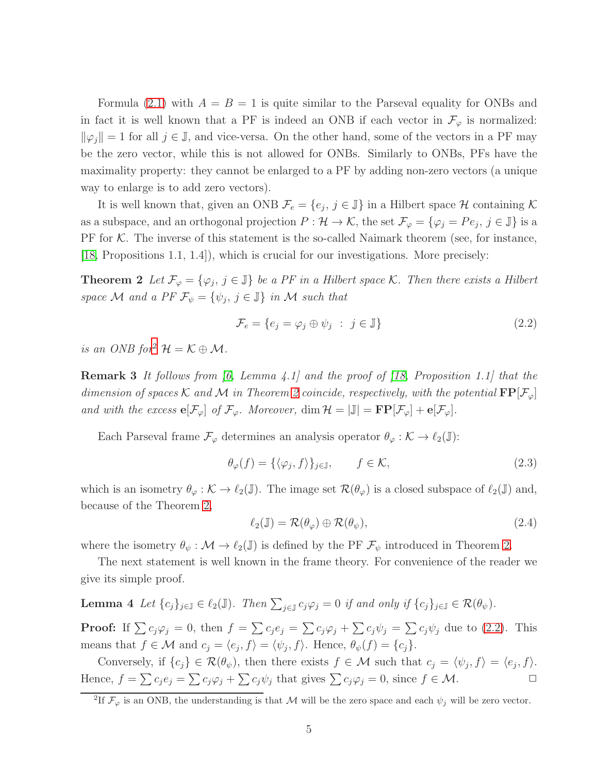Formula  $(2.1)$  with  $A = B = 1$  is quite similar to the Parseval equality for ONBs and in fact it is well known that a PF is indeed an ONB if each vector in  $\mathcal{F}_{\varphi}$  is normalized:  $\|\varphi_j\|=1$  for all  $j \in \mathbb{J}$ , and vice-versa. On the other hand, some of the vectors in a PF may be the zero vector, while this is not allowed for ONBs. Similarly to ONBs, PFs have the maximality property: they cannot be enlarged to a PF by adding non-zero vectors (a unique way to enlarge is to add zero vectors).

It is well known that, given an ONB  $\mathcal{F}_e = \{e_j, j \in \mathbb{J}\}\$ in a Hilbert space  $\mathcal H$  containing  $\mathcal K$ as a subspace, and an orthogonal projection  $P: \mathcal{H} \to \mathcal{K}$ , the set  $\mathcal{F}_{\varphi} = \{\varphi_j = Pe_j, j \in \mathbb{J}\}\$ is a PF for  $K$ . The inverse of this statement is the so-called Naimark theorem (see, for instance, [\[18,](#page-20-8) Propositions 1.1, 1.4]), which is crucial for our investigations. More precisely:

**Theorem 2** Let  $\mathcal{F}_{\varphi} = {\varphi_j, j \in \mathbb{J}}$  be a PF in a Hilbert space K. Then there exists a Hilbert *space* M *and a PF*  $\mathcal{F}_{\psi} = \{\psi_j, j \in \mathbb{J}\}\$  *in* M *such that* 

<span id="page-4-2"></span><span id="page-4-0"></span>
$$
\mathcal{F}_e = \{ e_j = \varphi_j \oplus \psi_j \; : \; j \in \mathbb{J} \} \tag{2.2}
$$

<span id="page-4-6"></span>*is an ONB for*<sup>[2](#page-4-1)</sup>  $\mathcal{H} = \mathcal{K} \oplus \mathcal{M}$ .

Remark 3 *It follows from [\[6,](#page-19-3) Lemma 4.1] and the proof of [\[18,](#page-20-8) Proposition 1.1] that the dimension of spaces* K *and* M *in Theorem* [2](#page-4-0) *coincide, respectively, with the potential*  $\mathbf{FP}[\mathcal{F}_{\varphi}]$ *and with the excess*  $\mathbf{e}[\mathcal{F}_{\varphi}]$  *of*  $\mathcal{F}_{\varphi}$ *. Moreover,* dim  $\mathcal{H} = |\mathbb{J}| = \mathbf{FP}[\mathcal{F}_{\varphi}] + \mathbf{e}[\mathcal{F}_{\varphi}]$ *.* 

Each Parseval frame  $\mathcal{F}_{\varphi}$  determines an analysis operator  $\theta_{\varphi} : \mathcal{K} \to \ell_2(\mathbb{J})$ :

$$
\theta_{\varphi}(f) = \{ \langle \varphi_j, f \rangle \}_{j \in \mathbb{J}}, \qquad f \in \mathcal{K}, \tag{2.3}
$$

which is an isometry  $\theta_{\varphi} : \mathcal{K} \to \ell_2(\mathbb{J})$ . The image set  $\mathcal{R}(\theta_{\varphi})$  is a closed subspace of  $\ell_2(\mathbb{J})$  and, because of the Theorem [2,](#page-4-0)

<span id="page-4-4"></span><span id="page-4-3"></span>
$$
\ell_2(\mathbb{J}) = \mathcal{R}(\theta_{\varphi}) \oplus \mathcal{R}(\theta_{\psi}),\tag{2.4}
$$

where the isometry  $\theta_{\psi}: \mathcal{M} \to \ell_2(\mathbb{J})$  is defined by the PF  $\mathcal{F}_{\psi}$  introduced in Theorem [2.](#page-4-0)

The next statement is well known in the frame theory. For convenience of the reader we give its simple proof.

**Lemma 4** Let 
$$
\{c_j\}_{j\in\mathbb{J}} \in \ell_2(\mathbb{J})
$$
. Then  $\sum_{j\in\mathbb{J}} c_j \varphi_j = 0$  if and only if  $\{c_j\}_{j\in\mathbb{J}} \in \mathcal{R}(\theta_{\psi})$ .

**Proof:** If  $\sum c_j \varphi_j = 0$ , then  $f = \sum c_j e_j = \sum c_j \varphi_j + \sum c_j \psi_j = \sum c_j \psi_j$  due to [\(2.2\)](#page-4-2). This means that  $f \in \mathcal{M}$  and  $c_j = \langle e_j, f \rangle = \langle \psi_j, f \rangle$ . Hence,  $\theta_{\psi}(f) = \{c_j\}.$ 

<span id="page-4-5"></span>Conversely, if  $\{c_j\} \in \mathcal{R}(\theta_{\psi})$ , then there exists  $f \in \mathcal{M}$  such that  $c_j = \langle \psi_j, f \rangle = \langle e_j, f \rangle$ . Hence,  $f = \sum c_j e_j = \sum c_j \varphi_j + \sum c_j \psi_j$  that gives  $\sum c_j \varphi_j = 0$ , since  $f \in \mathcal{M}$ .

<span id="page-4-1"></span><sup>&</sup>lt;sup>2</sup>If  $\mathcal{F}_{\varphi}$  is an ONB, the understanding is that M will be the zero space and each  $\psi_j$  will be zero vector.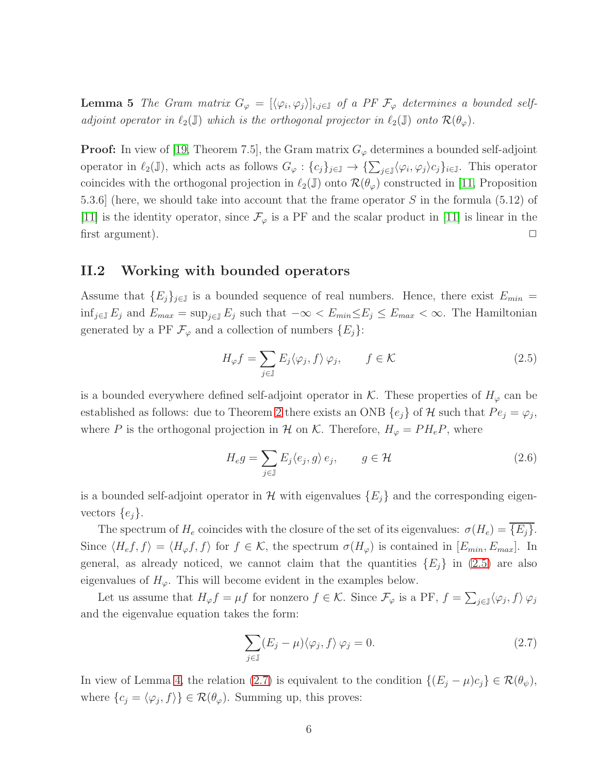**Lemma 5** *The Gram matrix*  $G_{\varphi} = [\langle \varphi_i, \varphi_j \rangle]_{i,j \in \mathbb{J}}$  *of a PF*  $\mathcal{F}_{\varphi}$  *determines a bounded selfadjoint operator in*  $\ell_2(\mathbb{J})$  *which is the orthogonal projector in*  $\ell_2(\mathbb{J})$  *onto*  $\mathcal{R}(\theta_\varphi)$ *.* 

**Proof:** In view of [\[19,](#page-20-9) Theorem 7.5], the Gram matrix  $G_{\varphi}$  determines a bounded self-adjoint operator in  $\ell_2(\mathbb{J})$ , which acts as follows  $G_\varphi: \{c_j\}_{j\in\mathbb{J}} \to \{\sum_{j\in\mathbb{J}} \langle \varphi_i, \varphi_j \rangle c_j\}_{i\in\mathbb{J}}$ . This operator coincides with the orthogonal projection in  $\ell_2(\mathbb{J})$  onto  $\mathcal{R}(\theta_\varphi)$  constructed in [\[11,](#page-20-10) Proposition 5.3.6] (here, we should take into account that the frame operator S in the formula (5.12) of [\[11\]](#page-20-10) is the identity operator, since  $\mathcal{F}_{\varphi}$  is a PF and the scalar product in [\[11\]](#page-20-10) is linear in the first argument).  $\Box$ 

#### <span id="page-5-0"></span>II.2 Working with bounded operators

Assume that  ${E_j}_{j \in J}$  is a bounded sequence of real numbers. Hence, there exist  $E_{min} =$ inf<sub>j∈J</sub>  $E_j$  and  $E_{max} = \sup_{j \in J} E_j$  such that  $-\infty < E_{min} \le E_j \le E_{max} < \infty$ . The Hamiltonian generated by a PF  $\mathcal{F}_{\varphi}$  and a collection of numbers  $\{E_j\}$ :

<span id="page-5-2"></span>
$$
H_{\varphi}f = \sum_{j \in \mathbb{J}} E_j \langle \varphi_j, f \rangle \varphi_j, \qquad f \in \mathcal{K}
$$
\n(2.5)

is a bounded everywhere defined self-adjoint operator in K. These properties of  $H_{\varphi}$  can be established as follows: due to Theorem [2](#page-4-0) there exists an ONB  $\{e_j\}$  of  $\mathcal H$  such that  $Pe_j = \varphi_j$ , where P is the orthogonal projection in H on K. Therefore,  $H_{\varphi} = PH_eP$ , where

<span id="page-5-4"></span>
$$
H_{e}g = \sum_{j \in \mathbb{J}} E_j \langle e_j, g \rangle e_j, \qquad g \in \mathcal{H}
$$
\n(2.6)

is a bounded self-adjoint operator in H with eigenvalues  $\{E_i\}$  and the corresponding eigenvectors  $\{e_j\}.$ 

The spectrum of  $H_e$  coincides with the closure of the set of its eigenvalues:  $\sigma(H_e) = \overline{\{E_j\}}$ . Since  $\langle H_e f, f \rangle = \langle H_\varphi f, f \rangle$  for  $f \in \mathcal{K}$ , the spectrum  $\sigma(H_\varphi)$  is contained in  $[E_{min}, E_{max}]$ . In general, as already noticed, we cannot claim that the quantities  $\{E_i\}$  in [\(2.5\)](#page-5-2) are also eigenvalues of  $H_{\varphi}$ . This will become evident in the examples below.

Let us assume that  $H_{\varphi}f = \mu f$  for nonzero  $f \in \mathcal{K}$ . Since  $\mathcal{F}_{\varphi}$  is a PF,  $f = \sum_{j\in\mathbb{J}} \langle \varphi_j, f \rangle \varphi_j$ and the eigenvalue equation takes the form:

<span id="page-5-3"></span><span id="page-5-1"></span>
$$
\sum_{j \in \mathbb{J}} (E_j - \mu) \langle \varphi_j, f \rangle \varphi_j = 0.
$$
 (2.7)

In view of Lemma [4,](#page-4-3) the relation [\(2.7\)](#page-5-3) is equivalent to the condition  $\{(E_j - \mu)c_j\} \in \mathcal{R}(\theta_{\psi}),$ where  $\{c_j = \langle \varphi_j, f \rangle\} \in \mathcal{R}(\theta_\varphi)$ . Summing up, this proves: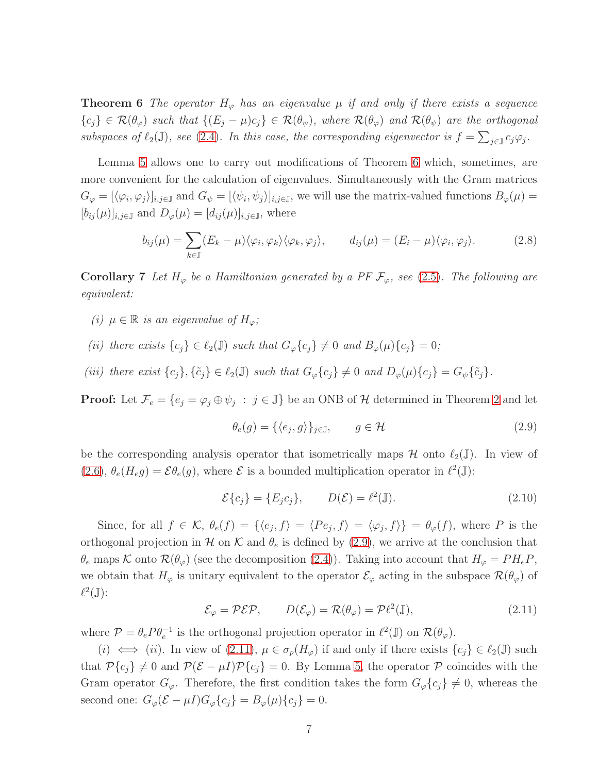**Theorem 6** *The operator*  $H_{\varphi}$  *has an eigenvalue*  $\mu$  *if and only if there exists a sequence*  ${c_j} \in \mathcal{R}(\theta_\varphi)$  *such that*  ${ (E_j - \mu)c_j } \in \mathcal{R}(\theta_\psi)$ *, where*  $\mathcal{R}(\theta_\varphi)$  *and*  $\mathcal{R}(\theta_\psi)$  *are the orthogonal subspaces of*  $\ell_2(\mathbb{J})$ *, see* [\(2.4\)](#page-4-4)*. In this case, the corresponding eigenvector is*  $f = \sum_{j \in \mathbb{J}} c_j \varphi_j$ *.* 

Lemma [5](#page-4-5) allows one to carry out modifications of Theorem [6](#page-5-1) which, sometimes, are more convenient for the calculation of eigenvalues. Simultaneously with the Gram matrices  $G_{\varphi} = [\langle \varphi_i, \varphi_j \rangle]_{i,j \in \mathbb{J}}$  and  $G_{\psi} = [\langle \psi_i, \psi_j \rangle]_{i,j \in \mathbb{J}}$ , we will use the matrix-valued functions  $B_{\varphi}(\mu) =$  $[b_{ij}(\mu)]_{i,j\in\mathbb{J}}$  and  $D_{\varphi}(\mu)=[d_{ij}(\mu)]_{i,j\in\mathbb{J}}$ , where

<span id="page-6-3"></span>
$$
b_{ij}(\mu) = \sum_{k \in \mathbb{J}} (E_k - \mu) \langle \varphi_i, \varphi_k \rangle \langle \varphi_k, \varphi_j \rangle, \qquad d_{ij}(\mu) = (E_i - \mu) \langle \varphi_i, \varphi_j \rangle. \tag{2.8}
$$

<span id="page-6-0"></span>**Corollary 7** Let  $H_{\varphi}$  be a Hamiltonian generated by a PF  $\mathcal{F}_{\varphi}$ , see [\(2.5\)](#page-5-2). The following are *equivalent:*

- *(i)*  $\mu \in \mathbb{R}$  *is an eigenvalue of*  $H_{\varphi}$ *;*
- *(ii) there exists*  $\{c_i\} \in \ell_2(\mathbb{J})$  *such that*  $G_{\varphi}\{c_i\} \neq 0$  *and*  $B_{\varphi}(\mu)\{c_i\} = 0$ ;
- (iii) there exist  $\{c_j\}, \{\tilde{c}_j\} \in \ell_2(\mathbb{J})$  *such that*  $G_{\varphi}\{c_j\} \neq 0$  *and*  $D_{\varphi}(\mu)\{c_j\} = G_{\psi}\{\tilde{c}_j\}.$

**Proof:** Let  $\mathcal{F}_e = \{e_j = \varphi_j \oplus \psi_j : j \in \mathbb{J}\}\$ be an ONB of  $\mathcal{H}$  determined in Theorem [2](#page-4-0) and let

<span id="page-6-1"></span>
$$
\theta_e(g) = \{ \langle e_j, g \rangle \}_{j \in \mathbb{J}}, \qquad g \in \mathcal{H}
$$
\n(2.9)

be the corresponding analysis operator that isometrically maps  $\mathcal H$  onto  $\ell_2(\mathbb J)$ . In view of [\(2.6\)](#page-5-4),  $\theta_e(H_e g) = \mathcal{E}\theta_e(g)$ , where  $\mathcal E$  is a bounded multiplication operator in  $\ell^2(\mathbb J)$ :

<span id="page-6-4"></span>
$$
\mathcal{E}\{c_j\} = \{E_j c_j\}, \qquad D(\mathcal{E}) = \ell^2(\mathbb{J}).\tag{2.10}
$$

Since, for all  $f \in \mathcal{K}$ ,  $\theta_e(f) = \{\langle e_j, f \rangle = \langle Pe_j, f \rangle = \langle \varphi_j, f \rangle\} = \theta_\varphi(f)$ , where P is the orthogonal projection in H on K and  $\theta_e$  is defined by [\(2.9\)](#page-6-1), we arrive at the conclusion that  $\theta_e$  maps K onto  $\mathcal{R}(\theta_\varphi)$  (see the decomposition [\(2.4\)](#page-4-4)). Taking into account that  $H_\varphi = PH_eP$ , we obtain that  $H_{\varphi}$  is unitary equivalent to the operator  $\mathcal{E}_{\varphi}$  acting in the subspace  $\mathcal{R}(\theta_{\varphi})$  of  $\ell^2(\mathbb{J})$ :

<span id="page-6-2"></span>
$$
\mathcal{E}_{\varphi} = \mathcal{P} \mathcal{E} \mathcal{P}, \qquad D(\mathcal{E}_{\varphi}) = \mathcal{R}(\theta_{\varphi}) = \mathcal{P} \ell^2(\mathbb{J}), \tag{2.11}
$$

where  $\mathcal{P} = \theta_e P \theta_e^{-1}$  is the orthogonal projection operator in  $\ell^2(\mathbb{J})$  on  $\mathcal{R}(\theta_\varphi)$ .

(i)  $\iff$  (ii). In view of [\(2.11\)](#page-6-2),  $\mu \in \sigma_p(H_\varphi)$  if and only if there exists  $\{c_i\} \in \ell_2(\mathbb{J})$  such that  $\mathcal{P}\{c_j\} \neq 0$  and  $\mathcal{P}(\mathcal{E} - \mu I)\mathcal{P}\{c_j\} = 0$ . By Lemma [5,](#page-4-5) the operator  $\mathcal P$  coincides with the Gram operator  $G_{\varphi}$ . Therefore, the first condition takes the form  $G_{\varphi}\{c_j\} \neq 0$ , whereas the second one:  $G_{\varphi}(\mathcal{E} - \mu I)G_{\varphi}\{c_j\} = B_{\varphi}(\mu)\{c_j\} = 0.$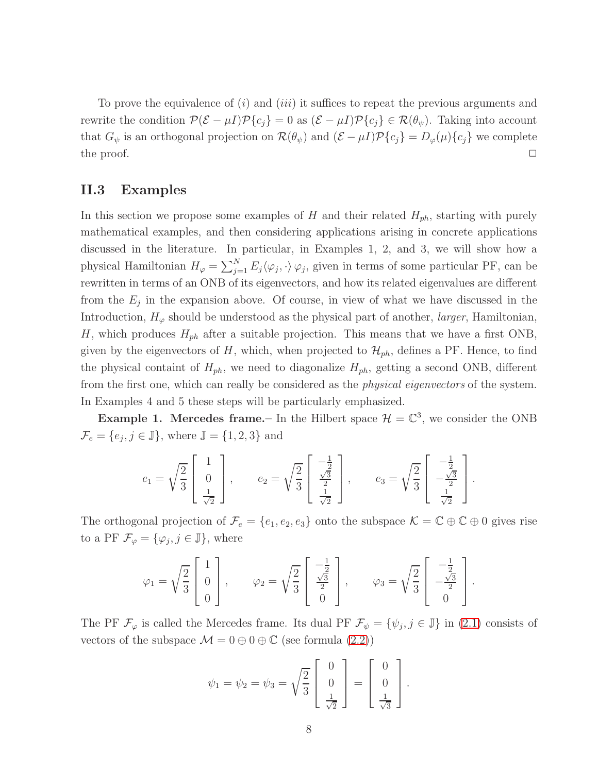To prove the equivalence of  $(i)$  and  $(iii)$  it suffices to repeat the previous arguments and rewrite the condition  $\mathcal{P}(\mathcal{E} - \mu I)\mathcal{P}\{c_j\} = 0$  as  $(\mathcal{E} - \mu I)\mathcal{P}\{c_j\} \in \mathcal{R}(\theta_{\psi})$ . Taking into account that  $G_{\psi}$  is an orthogonal projection on  $\mathcal{R}(\theta_{\psi})$  and  $(\mathcal{E} - \mu I)\mathcal{P}\{c_j\} = D_{\varphi}(\mu)\{c_j\}$  we complete the proof.  $\Box$ 

### <span id="page-7-0"></span>II.3 Examples

In this section we propose some examples of H and their related  $H_{ph}$ , starting with purely mathematical examples, and then considering applications arising in concrete applications discussed in the literature. In particular, in Examples 1, 2, and 3, we will show how a physical Hamiltonian  $H_{\varphi} = \sum_{j=1}^{N} E_j \langle \varphi_j, \cdot \rangle \varphi_j$ , given in terms of some particular PF, can be rewritten in terms of an ONB of its eigenvectors, and how its related eigenvalues are different from the  $E_j$  in the expansion above. Of course, in view of what we have discussed in the Introduction,  $H_{\varphi}$  should be understood as the physical part of another, *larger*, Hamiltonian, H, which produces  $H_{ph}$  after a suitable projection. This means that we have a first ONB, given by the eigenvectors of H, which, when projected to  $\mathcal{H}_{ph}$ , defines a PF. Hence, to find the physical containt of  $H_{ph}$ , we need to diagonalize  $H_{ph}$ , getting a second ONB, different from the first one, which can really be considered as the *physical eigenvectors* of the system. In Examples 4 and 5 these steps will be particularly emphasized.

**Example 1. Mercedes frame.** In the Hilbert space  $\mathcal{H} = \mathbb{C}^3$ , we consider the ONB  $\mathcal{F}_e = \{e_j, j \in \mathbb{J}\}\,$ , where  $\mathbb{J} = \{1, 2, 3\}$  and

$$
e_1 = \sqrt{\frac{2}{3}} \begin{bmatrix} 1 \\ 0 \\ \frac{1}{\sqrt{2}} \end{bmatrix}, \qquad e_2 = \sqrt{\frac{2}{3}} \begin{bmatrix} -\frac{1}{2} \\ \frac{\sqrt{3}}{2} \\ \frac{1}{\sqrt{2}} \end{bmatrix}, \qquad e_3 = \sqrt{\frac{2}{3}} \begin{bmatrix} -\frac{1}{2} \\ -\frac{\sqrt{3}}{2} \\ \frac{1}{\sqrt{2}} \end{bmatrix}.
$$

The orthogonal projection of  $\mathcal{F}_e = \{e_1, e_2, e_3\}$  onto the subspace  $\mathcal{K} = \mathbb{C} \oplus \mathbb{C} \oplus 0$  gives rise to a PF  $\mathcal{F}_{\varphi} = {\varphi_j, j \in \mathbb{J}}$ , where

$$
\varphi_1 = \sqrt{\frac{2}{3}} \begin{bmatrix} 1 \\ 0 \\ 0 \end{bmatrix}, \qquad \varphi_2 = \sqrt{\frac{2}{3}} \begin{bmatrix} -\frac{1}{2} \\ \frac{\sqrt{3}}{2} \\ 0 \end{bmatrix}, \qquad \varphi_3 = \sqrt{\frac{2}{3}} \begin{bmatrix} -\frac{1}{2} \\ -\frac{\sqrt{3}}{2} \\ 0 \end{bmatrix}.
$$

The PF  $\mathcal{F}_{\varphi}$  is called the Mercedes frame. Its dual PF  $\mathcal{F}_{\psi} = \{\psi_j, j \in \mathbb{J}\}\$  in [\(2.1\)](#page-3-1) consists of vectors of the subspace  $\mathcal{M} = 0 \oplus 0 \oplus \mathbb{C}$  (see formula [\(2.2\)](#page-4-2))

$$
\psi_1 = \psi_2 = \psi_3 = \sqrt{\frac{2}{3}} \begin{bmatrix} 0 \\ 0 \\ \frac{1}{\sqrt{2}} \end{bmatrix} = \begin{bmatrix} 0 \\ 0 \\ \frac{1}{\sqrt{3}} \end{bmatrix}.
$$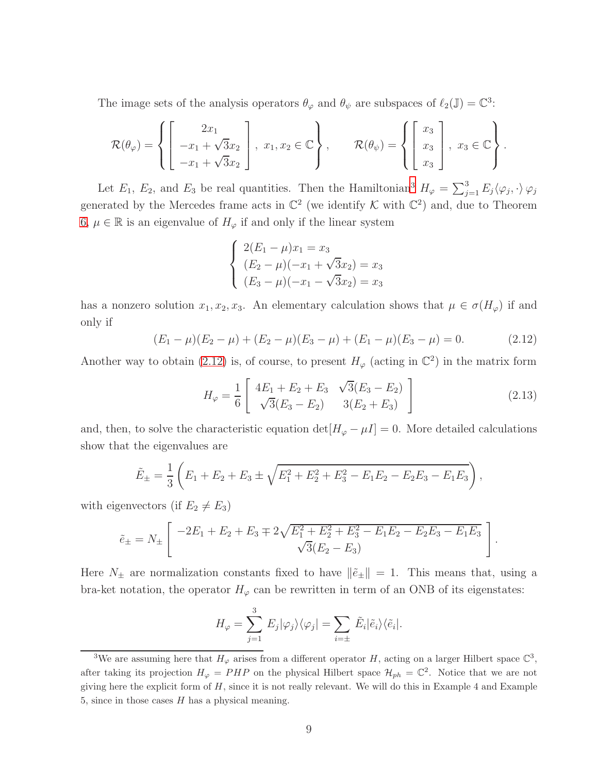The image sets of the analysis operators  $\theta_{\varphi}$  and  $\theta_{\psi}$  are subspaces of  $\ell_2(\mathbb{J}) = \mathbb{C}^3$ :

$$
\mathcal{R}(\theta_{\varphi}) = \left\{ \begin{bmatrix} 2x_1 \\ -x_1 + \sqrt{3}x_2 \\ -x_1 + \sqrt{3}x_2 \end{bmatrix}, x_1, x_2 \in \mathbb{C} \right\}, \qquad \mathcal{R}(\theta_{\psi}) = \left\{ \begin{bmatrix} x_3 \\ x_3 \\ x_3 \end{bmatrix}, x_3 \in \mathbb{C} \right\}.
$$

Let  $E_1$ ,  $E_2$ , and  $E_3$  $E_3$  be real quantities. Then the Hamiltonian<sup>3</sup>  $H_{\varphi} = \sum_{j=1}^3 E_j \langle \varphi_j, \cdot \rangle \varphi_j$ generated by the Mercedes frame acts in  $\mathbb{C}^2$  (we identify K with  $\mathbb{C}^2$ ) and, due to Theorem [6,](#page-5-1)  $\mu \in \mathbb{R}$  is an eigenvalue of  $H_{\varphi}$  if and only if the linear system

$$
\begin{cases}\n2(E_1 - \mu)x_1 = x_3 \\
(E_2 - \mu)(-x_1 + \sqrt{3}x_2) = x_3 \\
(E_3 - \mu)(-x_1 - \sqrt{3}x_2) = x_3\n\end{cases}
$$

has a nonzero solution  $x_1, x_2, x_3$ . An elementary calculation shows that  $\mu \in \sigma(H_{\varphi})$  if and only if

<span id="page-8-1"></span>
$$
(E_1 - \mu)(E_2 - \mu) + (E_2 - \mu)(E_3 - \mu) + (E_1 - \mu)(E_3 - \mu) = 0.
$$
 (2.12)

Another way to obtain [\(2.12\)](#page-8-1) is, of course, to present  $H_{\varphi}$  (acting in  $\mathbb{C}^2$ ) in the matrix form

$$
H_{\varphi} = \frac{1}{6} \begin{bmatrix} 4E_1 + E_2 + E_3 & \sqrt{3}(E_3 - E_2) \\ \sqrt{3}(E_3 - E_2) & 3(E_2 + E_3) \end{bmatrix}
$$
 (2.13)

and, then, to solve the characteristic equation det $[H_{\varphi} - \mu I] = 0$ . More detailed calculations show that the eigenvalues are

$$
\tilde{E}_{\pm} = \frac{1}{3} \left( E_1 + E_2 + E_3 \pm \sqrt{E_1^2 + E_2^2 + E_3^2 - E_1 E_2 - E_2 E_3 - E_1 E_3} \right),
$$

with eigenvectors (if  $E_2 \neq E_3$ )

$$
\tilde{e}_{\pm} = N_{\pm} \left[ \frac{-2E_1 + E_2 + E_3 \mp 2\sqrt{E_1^2 + E_2^2 + E_3^2 - E_1E_2 - E_2E_3 - E_1E_3}}{\sqrt{3}(E_2 - E_3)} \right].
$$

Here  $N_{\pm}$  are normalization constants fixed to have  $\|\tilde{e}_{\pm}\|=1$ . This means that, using a bra-ket notation, the operator  $H_{\varphi}$  can be rewritten in term of an ONB of its eigenstates:

$$
H_{\varphi} = \sum_{j=1}^{3} E_{j} |\varphi_{j}\rangle\langle\varphi_{j}| = \sum_{i=\pm} \tilde{E}_{i} |\tilde{e}_{i}\rangle\langle\tilde{e}_{i}|.
$$

<span id="page-8-0"></span><sup>&</sup>lt;sup>3</sup>We are assuming here that  $H_{\varphi}$  arises from a different operator H, acting on a larger Hilbert space  $\mathbb{C}^3$ , after taking its projection  $H_{\varphi} = PHP$  on the physical Hilbert space  $\mathcal{H}_{ph} = \mathbb{C}^2$ . Notice that we are not giving here the explicit form of  $H$ , since it is not really relevant. We will do this in Example 4 and Example 5, since in those cases  $H$  has a physical meaning.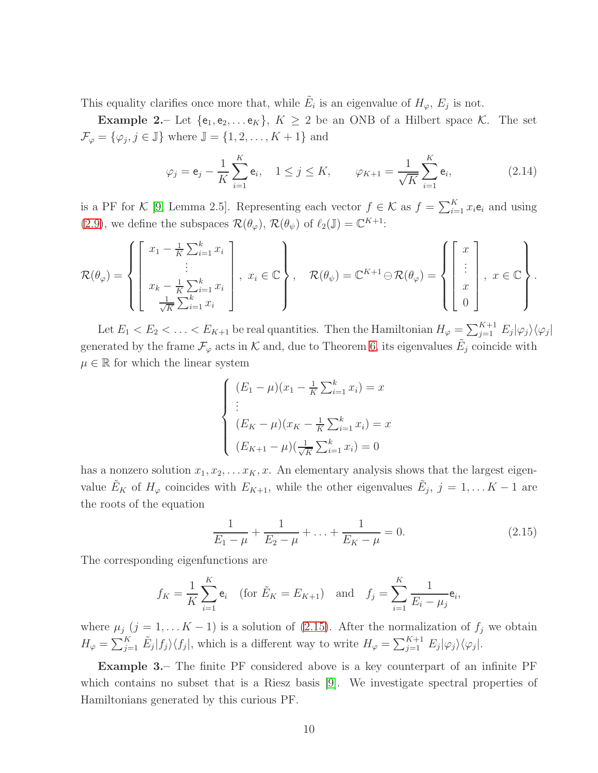This equality clarifies once more that, while  $\tilde{E}_i$  is an eigenvalue of  $H_{\varphi}, E_j$  is not.

**Example 2.** Let  $\{e_1, e_2, \ldots e_K\}, K \geq 2$  be an ONB of a Hilbert space K. The set  $\mathcal{F}_{\varphi} = {\varphi_j, j \in \mathbb{J}}$  where  $\mathbb{J} = \{1, 2, \dots, K + 1\}$  and

<span id="page-9-1"></span>
$$
\varphi_j = \mathbf{e}_j - \frac{1}{K} \sum_{i=1}^K \mathbf{e}_i, \quad 1 \le j \le K, \qquad \varphi_{K+1} = \frac{1}{\sqrt{K}} \sum_{i=1}^K \mathbf{e}_i,
$$
\n(2.14)

is a PF for K [\[9,](#page-19-6) Lemma 2.5]. Representing each vector  $f \in \mathcal{K}$  as  $f = \sum_{i=1}^{K} x_i e_i$  and using [\(2.9\)](#page-6-1), we define the subspaces  $\mathcal{R}(\theta_{\varphi})$ ,  $\mathcal{R}(\theta_{\psi})$  of  $\ell_2(\mathbb{J}) = \mathbb{C}^{K+1}$ :

$$
\mathcal{R}(\theta_{\varphi}) = \left\{ \begin{bmatrix} x_1 - \frac{1}{K} \sum_{i=1}^k x_i \\ \vdots \\ x_k - \frac{1}{K} \sum_{i=1}^k x_i \\ \frac{1}{\sqrt{K}} \sum_{i=1}^k x_i \end{bmatrix}, x_i \in \mathbb{C} \right\}, \quad \mathcal{R}(\theta_{\psi}) = \mathbb{C}^{K+1} \ominus \mathcal{R}(\theta_{\varphi}) = \left\{ \begin{bmatrix} x \\ \vdots \\ x \\ 0 \end{bmatrix}, x \in \mathbb{C} \right\}.
$$

Let  $E_1 < E_2 < \ldots < E_{K+1}$  be real quantities. Then the Hamiltonian  $H_{\varphi} = \sum_{j=1}^{K+1} E_j |\varphi_j\rangle \langle \varphi_j|$ generated by the frame  $\mathcal{F}_{\varphi}$  acts in K and, due to Theorem [6,](#page-5-1) its eigenvalues  $\tilde{E}_j$  coincide with  $\mu \in \mathbb{R}$  for which the linear system

$$
\begin{cases}\n(E_1 - \mu)(x_1 - \frac{1}{K} \sum_{i=1}^k x_i) = x \\
\vdots \\
(E_K - \mu)(x_K - \frac{1}{K} \sum_{i=1}^k x_i) = x \\
(E_{K+1} - \mu)(\frac{1}{\sqrt{K}} \sum_{i=1}^k x_i) = 0\n\end{cases}
$$

has a nonzero solution  $x_1, x_2, \ldots x_K, x$ . An elementary analysis shows that the largest eigenvalue  $\tilde{E}_K$  of  $H_{\varphi}$  coincides with  $E_{K+1}$ , while the other eigenvalues  $\tilde{E}_j$ ,  $j = 1, \ldots K-1$  are the roots of the equation

<span id="page-9-0"></span>
$$
\frac{1}{E_1 - \mu} + \frac{1}{E_2 - \mu} + \ldots + \frac{1}{E_K - \mu} = 0.
$$
 (2.15)

The corresponding eigenfunctions are

$$
f_K = \frac{1}{K} \sum_{i=1}^K e_i
$$
 (for  $\tilde{E}_K = E_{K+1}$ ) and  $f_j = \sum_{i=1}^K \frac{1}{E_i - \mu_j} e_i$ ,

where  $\mu_j$  (j = 1, ... K – 1) is a solution of [\(2.15\)](#page-9-0). After the normalization of  $f_j$  we obtain  $H_{\varphi} = \sum_{j=1}^{K} \tilde{E}_j |f_j\rangle\langle f_j|$ , which is a different way to write  $H_{\varphi} = \sum_{j=1}^{K+1} E_j |\varphi_j\rangle\langle\varphi_j|$ .

Example 3.– The finite PF considered above is a key counterpart of an infinite PF which contains no subset that is a Riesz basis [\[9\]](#page-19-6). We investigate spectral properties of Hamiltonians generated by this curious PF.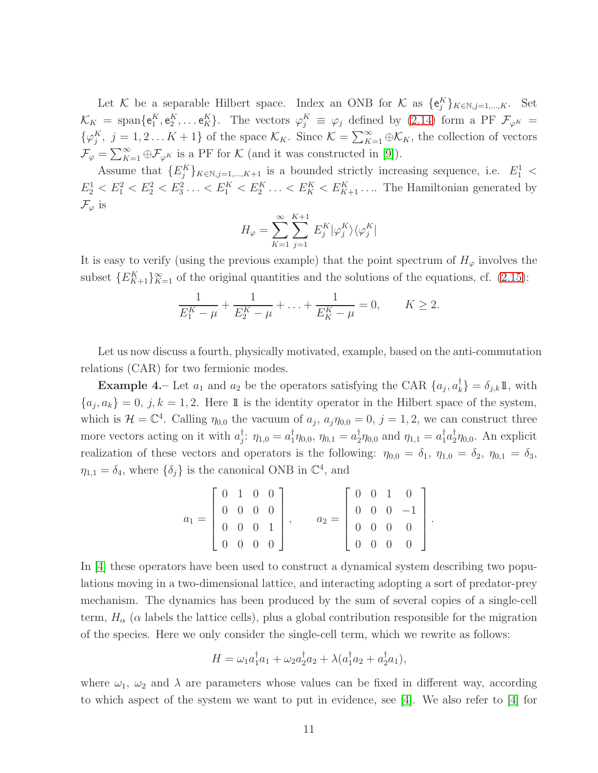Let K be a separable Hilbert space. Index an ONB for K as  $\{e_j^K\}_{K \in \mathbb{N}, j=1,\dots,K}$ . Set  $\mathcal{K}_K$  = span $\{e_1^K, e_2^K, \ldots e_K^K\}$ . The vectors  $\varphi_j^K \equiv \varphi_j$  defined by [\(2.14\)](#page-9-1) form a PF  $\mathcal{F}_{\varphi^K}$  =  $\{\varphi_j^K, j = 1, 2...K+1\}$  of the space  $\mathcal{K}_K$ . Since  $\mathcal{K} = \sum_{K=1}^{\infty} \oplus \mathcal{K}_K$ , the collection of vectors  $\mathcal{F}_{\varphi} = \sum_{K=1}^{\infty} \oplus \mathcal{F}_{\varphi^K}$  is a PF for K (and it was constructed in [\[9\]](#page-19-6)).

Assume that  $\{E_j^K\}_{K \in \mathbb{N}, j=1,\dots,K+1}$  is a bounded strictly increasing sequence, i.e.  $E_1^1$  <  $E_2^1 < E_1^2 < E_2^2 < E_3^2 \ldots < E_1^K < E_2^K \ldots < E_K^K < E_{K+1}^K \ldots$  The Hamiltonian generated by  $\mathcal{F}_{\varphi}$  is

$$
H_{\varphi} = \sum_{K=1}^{\infty} \sum_{j=1}^{K+1} E_j^K | \varphi_j^K \rangle \langle \varphi_j^K |
$$

It is easy to verify (using the previous example) that the point spectrum of  $H_{\varphi}$  involves the subset  $\{E_{K+1}^K\}_{K=1}^{\infty}$  of the original quantities and the solutions of the equations, cf. [\(2.15\)](#page-9-0):

$$
\frac{1}{E_1^K - \mu} + \frac{1}{E_2^K - \mu} + \ldots + \frac{1}{E_K^K - \mu} = 0, \qquad K \ge 2.
$$

Let us now discuss a fourth, physically motivated, example, based on the anti-commutation relations (CAR) for two fermionic modes.

**Example 4.** Let  $a_1$  and  $a_2$  be the operators satisfying the CAR  $\{a_j, a_k^{\dagger}\} = \delta_{j,k} \mathbb{1}$ , with  ${a_j, a_k} = 0, j, k = 1, 2$ . Here 1 is the identity operator in the Hilbert space of the system, which is  $\mathcal{H} = \mathbb{C}^4$ . Calling  $\eta_{0,0}$  the vacuum of  $a_j$ ,  $a_j \eta_{0,0} = 0$ ,  $j = 1,2$ , we can construct three more vectors acting on it with  $a_j^{\dagger}$ :  $\eta_{1,0} = a_1^{\dagger} \eta_{0,0}, \eta_{0,1} = a_2^{\dagger} \eta_{0,0}$  and  $\eta_{1,1} = a_1^{\dagger} a_2^{\dagger} \eta_{0,0}$ . An explicit realization of these vectors and operators is the following:  $\eta_{0,0} = \delta_1$ ,  $\eta_{1,0} = \delta_2$ ,  $\eta_{0,1} = \delta_3$ ,  $\eta_{1,1} = \delta_4$ , where  $\{\delta_j\}$  is the canonical ONB in  $\mathbb{C}^4$ , and

$$
a_1 = \begin{bmatrix} 0 & 1 & 0 & 0 \\ 0 & 0 & 0 & 0 \\ 0 & 0 & 0 & 1 \\ 0 & 0 & 0 & 0 \end{bmatrix}, \qquad a_2 = \begin{bmatrix} 0 & 0 & 1 & 0 \\ 0 & 0 & 0 & -1 \\ 0 & 0 & 0 & 0 \\ 0 & 0 & 0 & 0 \end{bmatrix}.
$$

In [\[4\]](#page-19-7) these operators have been used to construct a dynamical system describing two populations moving in a two-dimensional lattice, and interacting adopting a sort of predator-prey mechanism. The dynamics has been produced by the sum of several copies of a single-cell term,  $H_{\alpha}$  ( $\alpha$  labels the lattice cells), plus a global contribution responsible for the migration of the species. Here we only consider the single-cell term, which we rewrite as follows:

$$
H = \omega_1 a_1^{\dagger} a_1 + \omega_2 a_2^{\dagger} a_2 + \lambda (a_1^{\dagger} a_2 + a_2^{\dagger} a_1),
$$

where  $\omega_1$ ,  $\omega_2$  and  $\lambda$  are parameters whose values can be fixed in different way, according to which aspect of the system we want to put in evidence, see [\[4\]](#page-19-7). We also refer to [\[4\]](#page-19-7) for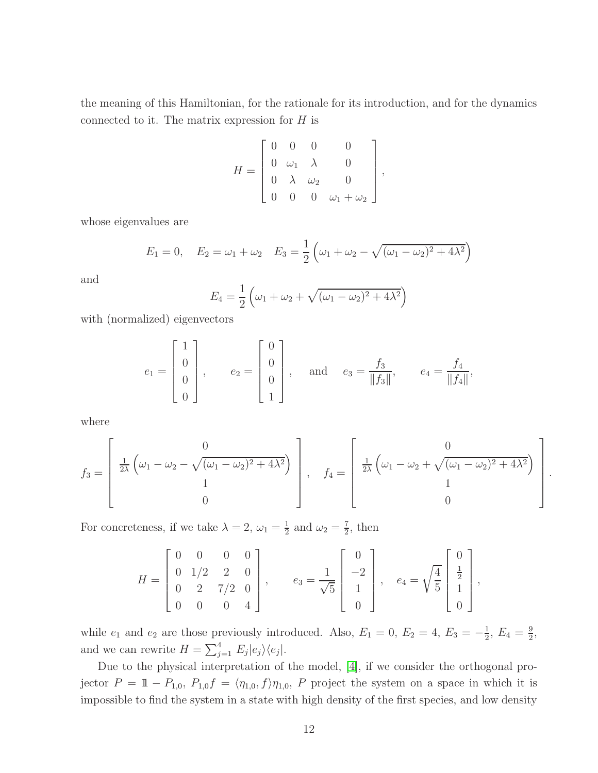the meaning of this Hamiltonian, for the rationale for its introduction, and for the dynamics connected to it. The matrix expression for  $H$  is

$$
H = \begin{bmatrix} 0 & 0 & 0 & 0 \\ 0 & \omega_1 & \lambda & 0 \\ 0 & \lambda & \omega_2 & 0 \\ 0 & 0 & 0 & \omega_1 + \omega_2 \end{bmatrix},
$$

whose eigenvalues are

$$
E_1 = 0, \quad E_2 = \omega_1 + \omega_2 \quad E_3 = \frac{1}{2} \left( \omega_1 + \omega_2 - \sqrt{(\omega_1 - \omega_2)^2 + 4\lambda^2} \right)
$$

and

$$
E_4 = \frac{1}{2} \left( \omega_1 + \omega_2 + \sqrt{(\omega_1 - \omega_2)^2 + 4\lambda^2} \right)
$$

with (normalized) eigenvectors

$$
e_1 = \begin{bmatrix} 1 \\ 0 \\ 0 \\ 0 \end{bmatrix}
$$
,  $e_2 = \begin{bmatrix} 0 \\ 0 \\ 0 \\ 1 \end{bmatrix}$ , and  $e_3 = \frac{f_3}{\|f_3\|}$ ,  $e_4 = \frac{f_4}{\|f_4\|}$ 

,

where

$$
f_3 = \begin{bmatrix} 0 & 0 \\ \frac{1}{2\lambda} \left( \omega_1 - \omega_2 - \sqrt{(\omega_1 - \omega_2)^2 + 4\lambda^2} \right) \\ 1 & 0 \end{bmatrix}, \quad f_4 = \begin{bmatrix} 0 & 0 \\ \frac{1}{2\lambda} \left( \omega_1 - \omega_2 + \sqrt{(\omega_1 - \omega_2)^2 + 4\lambda^2} \right) \\ 1 & 0 \\ 0 \end{bmatrix}.
$$

For concreteness, if we take  $\lambda = 2, \omega_1 = \frac{1}{2}$  $\frac{1}{2}$  and  $\omega_2 = \frac{7}{2}$  $\frac{7}{2}$ , then

$$
H = \begin{bmatrix} 0 & 0 & 0 & 0 \\ 0 & 1/2 & 2 & 0 \\ 0 & 2 & 7/2 & 0 \\ 0 & 0 & 0 & 4 \end{bmatrix}, \qquad e_3 = \frac{1}{\sqrt{5}} \begin{bmatrix} 0 \\ -2 \\ 1 \\ 0 \end{bmatrix}, \quad e_4 = \sqrt{\frac{4}{5}} \begin{bmatrix} 0 \\ \frac{1}{2} \\ 1 \\ 0 \end{bmatrix},
$$

while  $e_1$  and  $e_2$  are those previously introduced. Also,  $E_1 = 0$ ,  $E_2 = 4$ ,  $E_3 = -\frac{1}{2}$  $\frac{1}{2}$ ,  $E_4 = \frac{9}{2}$  $\frac{9}{2}$ , and we can rewrite  $H = \sum_{j=1}^{4} E_j |e_j\rangle\langle e_j|$ .

Due to the physical interpretation of the model, [\[4\]](#page-19-7), if we consider the orthogonal projector  $P = 1 - P_{1,0}, P_{1,0}f = \langle \eta_{1,0}, f \rangle \eta_{1,0}, P$  project the system on a space in which it is impossible to find the system in a state with high density of the first species, and low density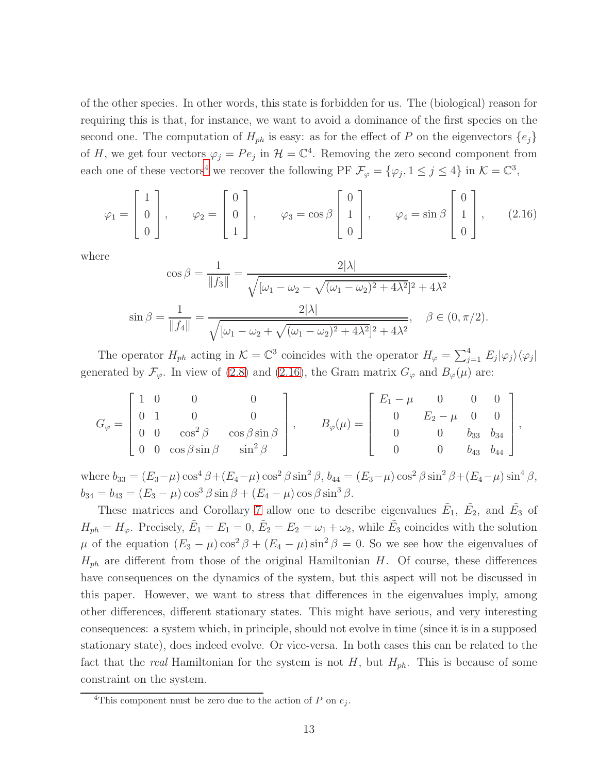of the other species. In other words, this state is forbidden for us. The (biological) reason for requiring this is that, for instance, we want to avoid a dominance of the first species on the second one. The computation of  $H_{ph}$  is easy: as for the effect of P on the eigenvectors  $\{e_j\}$ of H, we get four vectors  $\varphi_j = Pe_j$  in  $\mathcal{H} = \mathbb{C}^4$ . Removing the zero second component from each one of these vectors<sup>[4](#page-12-0)</sup> we recover the following PF  $\mathcal{F}_{\varphi} = {\varphi_j, 1 \le j \le 4}$  in  $\mathcal{K} = \mathbb{C}^3$ ,

<span id="page-12-1"></span>
$$
\varphi_1 = \begin{bmatrix} 1 \\ 0 \\ 0 \end{bmatrix}, \qquad \varphi_2 = \begin{bmatrix} 0 \\ 0 \\ 1 \end{bmatrix}, \qquad \varphi_3 = \cos \beta \begin{bmatrix} 0 \\ 1 \\ 0 \end{bmatrix}, \qquad \varphi_4 = \sin \beta \begin{bmatrix} 0 \\ 1 \\ 0 \end{bmatrix}, \qquad (2.16)
$$

where

$$
\cos \beta = \frac{1}{\|f_3\|} = \frac{2|\lambda|}{\sqrt{[\omega_1 - \omega_2 - \sqrt{(\omega_1 - \omega_2)^2 + 4\lambda^2}]^2 + 4\lambda^2}},
$$
  

$$
\sin \beta = \frac{1}{\|f_4\|} = \frac{2|\lambda|}{\sqrt{[\omega_1 - \omega_2 + \sqrt{(\omega_1 - \omega_2)^2 + 4\lambda^2}]^2 + 4\lambda^2}}, \quad \beta \in (0, \pi/2).
$$

The operator  $H_{ph}$  acting in  $\mathcal{K} = \mathbb{C}^3$  coincides with the operator  $H_{\varphi} = \sum_{j=1}^4 E_j |\varphi_j\rangle \langle \varphi_j|$ generated by  $\mathcal{F}_{\varphi}$ . In view of [\(2.8\)](#page-6-3) and [\(2.16\)](#page-12-1), the Gram matrix  $G_{\varphi}$  and  $B_{\varphi}(\mu)$  are:

$$
G_{\varphi} = \begin{bmatrix} 1 & 0 & 0 & 0 \\ 0 & 1 & 0 & 0 \\ 0 & 0 & \cos^2 \beta & \cos \beta \sin \beta \\ 0 & 0 & \cos \beta \sin \beta & \sin^2 \beta \end{bmatrix}, \qquad B_{\varphi}(\mu) = \begin{bmatrix} E_1 - \mu & 0 & 0 & 0 \\ 0 & E_2 - \mu & 0 & 0 \\ 0 & 0 & b_{33} & b_{34} \\ 0 & 0 & b_{43} & b_{44} \end{bmatrix},
$$

where  $b_{33} = (E_3 - \mu) \cos^4 \beta + (E_4 - \mu) \cos^2 \beta \sin^2 \beta$ ,  $b_{44} = (E_3 - \mu) \cos^2 \beta \sin^2 \beta + (E_4 - \mu) \sin^4 \beta$ ,  $b_{34} = b_{43} = (E_3 - \mu) \cos^3 \beta \sin \beta + (E_4 - \mu) \cos \beta \sin^3 \beta$ .

These matrices and Corollary [7](#page-6-0) allow one to describe eigenvalues  $\tilde{E}_1$ ,  $\tilde{E}_2$ , and  $\tilde{E}_3$  of  $H_{ph} = H_{\varphi}$ . Precisely,  $\tilde{E}_1 = E_1 = 0$ ,  $\tilde{E}_2 = E_2 = \omega_1 + \omega_2$ , while  $\tilde{E}_3$  coincides with the solution  $\mu$  of the equation  $(E_3 - \mu) \cos^2 \beta + (E_4 - \mu) \sin^2 \beta = 0$ . So we see how the eigenvalues of  $H_{ph}$  are different from those of the original Hamiltonian H. Of course, these differences have consequences on the dynamics of the system, but this aspect will not be discussed in this paper. However, we want to stress that differences in the eigenvalues imply, among other differences, different stationary states. This might have serious, and very interesting consequences: a system which, in principle, should not evolve in time (since it is in a supposed stationary state), does indeed evolve. Or vice-versa. In both cases this can be related to the fact that the *real* Hamiltonian for the system is not  $H$ , but  $H_{ph}$ . This is because of some constraint on the system.

<span id="page-12-0"></span><sup>&</sup>lt;sup>4</sup>This component must be zero due to the action of P on  $e_i$ .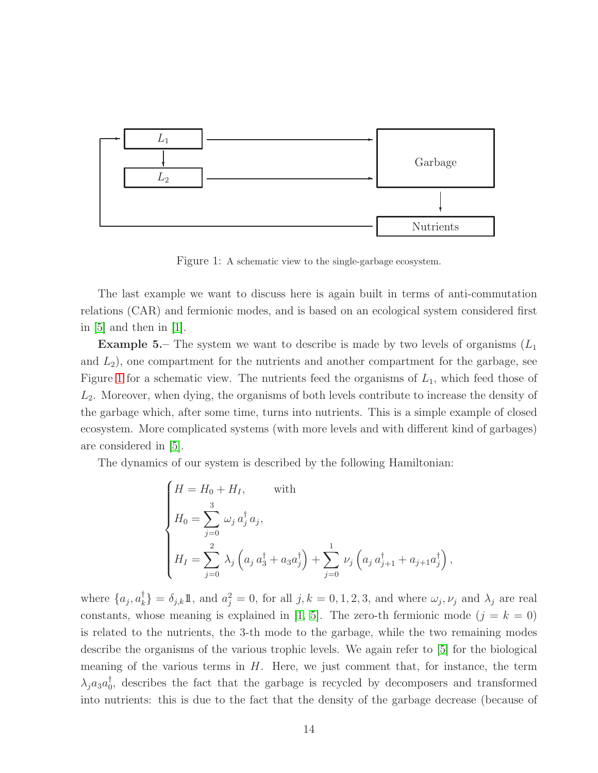

<span id="page-13-0"></span>Figure 1: A schematic view to the single-garbage ecosystem.

The last example we want to discuss here is again built in terms of anti-commutation relations (CAR) and fermionic modes, and is based on an ecological system considered first in  $[5]$  and then in  $[1]$ .

**Example 5.** The system we want to describe is made by two levels of organisms  $(L_1)$ and  $L_2$ ), one compartment for the nutrients and another compartment for the garbage, see Figure [1](#page-13-0) for a schematic view. The nutrients feed the organisms of  $L_1$ , which feed those of  $L<sub>2</sub>$ . Moreover, when dying, the organisms of both levels contribute to increase the density of the garbage which, after some time, turns into nutrients. This is a simple example of closed ecosystem. More complicated systems (with more levels and with different kind of garbages) are considered in [\[5\]](#page-19-8).

The dynamics of our system is described by the following Hamiltonian:

$$
\begin{cases}\nH = H_0 + H_I, & \text{with} \\
H_0 = \sum_{j=0}^3 \omega_j a_j^{\dagger} a_j, \\
H_I = \sum_{j=0}^2 \lambda_j \left( a_j a_3^{\dagger} + a_3 a_j^{\dagger} \right) + \sum_{j=0}^1 \nu_j \left( a_j a_{j+1}^{\dagger} + a_{j+1} a_j^{\dagger} \right),\n\end{cases}
$$

where  $\{a_j, a_k^{\dagger}\} = \delta_{j,k}1\!\!1$ , and  $a_j^2 = 0$ , for all  $j, k = 0, 1, 2, 3$ , and where  $\omega_j, \nu_j$  and  $\lambda_j$  are real constants, whose meaning is explained in [\[1,](#page-19-9) [5\]](#page-19-8). The zero-th fermionic mode  $(j = k = 0)$ is related to the nutrients, the 3-th mode to the garbage, while the two remaining modes describe the organisms of the various trophic levels. We again refer to [\[5\]](#page-19-8) for the biological meaning of the various terms in  $H$ . Here, we just comment that, for instance, the term  $\lambda_j a_3 a_0^{\dagger}$ , describes the fact that the garbage is recycled by decomposers and transformed into nutrients: this is due to the fact that the density of the garbage decrease (because of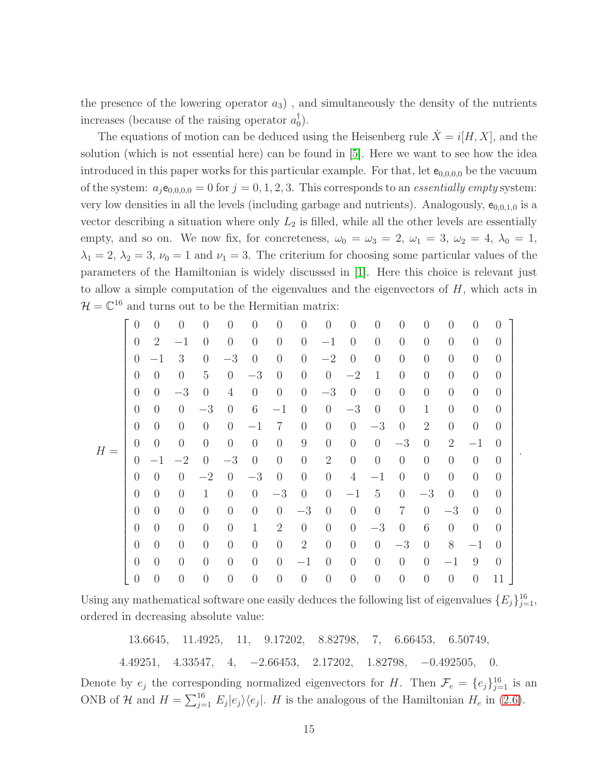the presence of the lowering operator  $a_3$ ), and simultaneously the density of the nutrients increases (because of the raising operator  $a_0^{\dagger}$ ).

The equations of motion can be deduced using the Heisenberg rule  $X = i[H, X]$ , and the solution (which is not essential here) can be found in [\[5\]](#page-19-8). Here we want to see how the idea introduced in this paper works for this particular example. For that, let  $e_{0,0,0,0}$  be the vacuum of the system:  $a_j e_{0,0,0,0} = 0$  for  $j = 0,1,2,3$ . This corresponds to an *essentially empty* system: very low densities in all the levels (including garbage and nutrients). Analogously,  $e_{0,0,1,0}$  is a vector describing a situation where only  $L_2$  is filled, while all the other levels are essentially empty, and so on. We now fix, for concreteness,  $\omega_0 = \omega_3 = 2$ ,  $\omega_1 = 3$ ,  $\omega_2 = 4$ ,  $\lambda_0 = 1$ ,  $\lambda_1 = 2, \lambda_2 = 3, \nu_0 = 1$  and  $\nu_1 = 3$ . The criterium for choosing some particular values of the parameters of the Hamiltonian is widely discussed in [\[1\]](#page-19-9). Here this choice is relevant just to allow a simple computation of the eigenvalues and the eigenvectors of  $H$ , which acts in  $\mathcal{H} = \mathbb{C}^{16}$  and turns out to be the Hermitian matrix:

| $H =$ | $\overline{0}$ | $\left( \right)$ | $\Omega$       | $\left( \right)$ | $\theta$         | $\overline{0}$ | $\theta$       | $\theta$         | $\overline{0}$ | $\overline{0}$ | $\theta$       | $\overline{0}$ | $\overline{0}$ | $\overline{0}$ | $\overline{0}$ | $\Omega$         |
|-------|----------------|------------------|----------------|------------------|------------------|----------------|----------------|------------------|----------------|----------------|----------------|----------------|----------------|----------------|----------------|------------------|
|       | $\overline{0}$ | $\overline{2}$   | $^{-1}$        | $\theta$         | $\overline{0}$   | $\overline{0}$ | $\overline{0}$ | $\overline{0}$   | $-1$           | $\overline{0}$ | $\overline{0}$ | $\overline{0}$ | $\overline{0}$ | $\overline{0}$ | $\overline{0}$ | $\overline{0}$   |
|       | $\overline{0}$ | $-1$             | 3              | $\overline{0}$   | $-3$             | $\overline{0}$ | $\overline{0}$ | $\theta$         | $-2$           | $\overline{0}$ | $\overline{0}$ | $\theta$       | $\overline{0}$ | $\theta$       | $\theta$       | $\overline{0}$   |
|       | $\theta$       | $\theta$         | $\Omega$       | 5                | $\overline{0}$   | $-3$           | $\theta$       | $\overline{0}$   | $\theta$       | $-2$           | $\mathbf{1}$   | $\overline{0}$ | $\overline{0}$ | $\overline{0}$ | $\overline{0}$ | $\left( \right)$ |
|       | $\overline{0}$ | $\theta$         | $-3$           | $\overline{0}$   | $\overline{4}$   | $\overline{0}$ | $\overline{0}$ | $\overline{0}$   | $-3$           | $\theta$       | $\overline{0}$ | $\overline{0}$ | $\overline{0}$ | $\theta$       | $\theta$       | $\overline{0}$   |
|       | $\overline{0}$ | $\overline{0}$   | $\overline{0}$ | $-3$             | $\overline{0}$   | 6              | $-1$           | $\overline{0}$   | $\theta$       | $-3$           | $\overline{0}$ | $\theta$       | $\mathbf{1}$   | $\overline{0}$ | $\overline{0}$ | $\overline{0}$   |
|       | $\overline{0}$ | $\left( \right)$ | $\Omega$       | $\overline{0}$   | $\overline{0}$   | $-1$           | $\overline{7}$ | $\overline{0}$   | $\overline{0}$ | $\theta$       | $-3$           | $\overline{0}$ | $\overline{2}$ | $\overline{0}$ | $\overline{0}$ | $\overline{0}$   |
|       | $\overline{0}$ | $\overline{0}$   | $\overline{0}$ | $\overline{0}$   | $\overline{0}$   | $\overline{0}$ | $\overline{0}$ | $\boldsymbol{9}$ | $\theta$       | $\theta$       | $\theta$       | $-3$           | $\overline{0}$ | $\overline{2}$ | $^{-1}$        | $\theta$         |
|       |                |                  |                |                  |                  |                |                |                  |                |                |                |                |                |                |                |                  |
|       | $\overline{0}$ | $-1$             | $-2$           | $\theta$         | $-3$             | $\overline{0}$ | $\overline{0}$ | $\overline{0}$   | $\overline{2}$ | $\theta$       | $\overline{0}$ | $\overline{0}$ | $\overline{0}$ | $\overline{0}$ | $\overline{0}$ | $\overline{0}$   |
|       | $\overline{0}$ | $\theta$         | $\left($       | $-2$             | $\left( \right)$ | $-3$           | $\theta$       | $\overline{0}$   | $\overline{0}$ | $\overline{4}$ | $-1$           | $\overline{0}$ | $\theta$       | $\overline{0}$ | $\overline{0}$ | $\overline{0}$   |
|       | $\overline{0}$ | $\theta$         | $\overline{0}$ | $\mathbf 1$      | $\overline{0}$   | $\overline{0}$ | $-3$           | $\overline{0}$   | $\theta$       | $-1$           | $\overline{5}$ | $\theta$       | $-3$           | $\theta$       | $\overline{0}$ | $\overline{0}$   |
|       | $\overline{0}$ | $\overline{0}$   | $\overline{0}$ | $\overline{0}$   | $\overline{0}$   | $\overline{0}$ | $\overline{0}$ | $-3$             | $\overline{0}$ | $\theta$       | $\overline{0}$ | $\overline{7}$ | $\overline{0}$ | $-3$           | $\overline{0}$ | $\left( \right)$ |
|       | $\overline{0}$ | $\overline{0}$   | $\theta$       | $\theta$         | $\overline{0}$   | $\mathbf{1}$   | $\overline{2}$ | $\overline{0}$   | $\overline{0}$ | $\overline{0}$ | $-3$           | $\overline{0}$ | 6              | $\overline{0}$ | $\overline{0}$ | $\left( \right)$ |
|       | $\overline{0}$ | $\theta$         | $\overline{0}$ | $\overline{0}$   | $\overline{0}$   | $\overline{0}$ | $\theta$       | $\overline{2}$   | $\overline{0}$ | $\theta$       | $\overline{0}$ | $-3$           | $\overline{0}$ | $8\,$          | $-1$           | $\left( \right)$ |
|       | $\overline{0}$ | $\overline{0}$   | $\overline{0}$ | $\overline{0}$   | $\overline{0}$   | $\overline{0}$ | $\overline{0}$ | $-1$             | $\overline{0}$ | $\overline{0}$ | $\overline{0}$ | $\overline{0}$ | $\overline{0}$ | $-1$           | 9              | $\overline{0}$   |

Using any mathematical software one easily deduces the following list of eigenvalues  $\{E_j\}_{j=1}^{16}$ , ordered in decreasing absolute value:

13.6645, 11.4925, 11, 9.17202, 8.82798, 7, 6.66453, 6.50749, 4.49251, 4.33547, 4, −2.66453, 2.17202, 1.82798, −0.492505, 0. Denote by  $e_j$  the corresponding normalized eigenvectors for H. Then  $\mathcal{F}_e = \{e_j\}_{j=1}^{16}$  is an ONB of H and  $H = \sum_{j=1}^{16} E_j |e_j\rangle\langle e_j|$ . H is the analogous of the Hamiltonian  $H_e$  in [\(2.6\)](#page-5-4).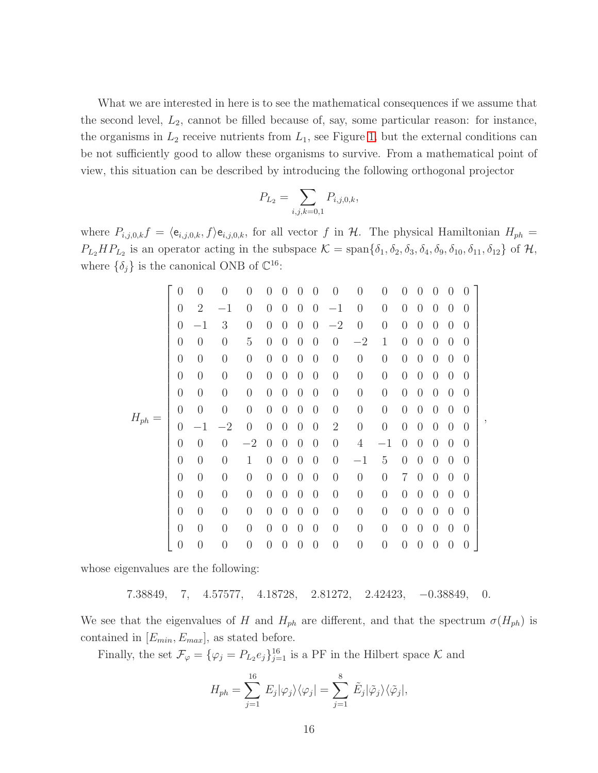What we are interested in here is to see the mathematical consequences if we assume that the second level,  $L_2$ , cannot be filled because of, say, some particular reason: for instance, the organisms in  $L_2$  receive nutrients from  $L_1$ , see Figure [1,](#page-13-0) but the external conditions can be not sufficiently good to allow these organisms to survive. From a mathematical point of view, this situation can be described by introducing the following orthogonal projector

$$
P_{L_2} = \sum_{i,j,k=0,1} P_{i,j,0,k},
$$

where  $P_{i,j,0,k}f = \langle e_{i,j,0,k}, f \rangle e_{i,j,0,k}$ , for all vector f in H. The physical Hamiltonian  $H_{ph}$  $P_{L_2}HP_{L_2}$  is an operator acting in the subspace  $\mathcal{K} = \text{span}\{\delta_1, \delta_2, \delta_3, \delta_4, \delta_9, \delta_{10}, \delta_{11}, \delta_{12}\}\$  of  $\mathcal{H}$ , where  $\{\delta_j\}$  is the canonical ONB of  $\mathbb{C}^{16}$ :

|           | $\overline{0}$   | $\overline{0}$   | $\overline{0}$   | $\overline{0}$   | $\theta$       | $\left( \right)$ | $\left( \right)$ | 0              | $\overline{0}$ | $\overline{0}$   | $\overline{0}$   | 0                | $\left( \right)$ | 0              | 0              | $\overline{0}$ |  |
|-----------|------------------|------------------|------------------|------------------|----------------|------------------|------------------|----------------|----------------|------------------|------------------|------------------|------------------|----------------|----------------|----------------|--|
| $H_{ph}=$ | $\overline{0}$   | $\overline{2}$   | $^{-1}$          | $\overline{0}$   | $\overline{0}$ | $\overline{0}$   | $\overline{0}$   | $\overline{0}$ | $^{-1}$        | $\overline{0}$   | $\boldsymbol{0}$ | $\boldsymbol{0}$ | $\overline{0}$   | $\overline{0}$ | $\overline{0}$ | $\overline{0}$ |  |
|           | $\boldsymbol{0}$ | $^{-1}$          | 3                | $\boldsymbol{0}$ | $\theta$       | $\overline{0}$   | $\overline{0}$   | $\overline{0}$ | $-2$           | $\overline{0}$   | $\boldsymbol{0}$ | $\boldsymbol{0}$ | $\overline{0}$   | $\overline{0}$ | $\overline{0}$ | $\overline{0}$ |  |
|           | $\overline{0}$   | $\overline{0}$   | $\overline{0}$   | $\overline{5}$   | $\overline{0}$ | $\overline{0}$   | $\overline{0}$   | $\overline{0}$ | $\overline{0}$ | $-2$             | 1                | $\overline{0}$   | $\overline{0}$   | $\overline{0}$ | $\overline{0}$ | $\overline{0}$ |  |
|           |                  |                  |                  |                  |                |                  |                  |                |                |                  |                  |                  |                  |                |                |                |  |
|           | $\boldsymbol{0}$ | $\boldsymbol{0}$ | $\boldsymbol{0}$ | $\theta$         | $\theta$       | $\overline{0}$   | $\overline{0}$   | $\overline{0}$ | $\theta$       | $\overline{0}$   | $\boldsymbol{0}$ | $\overline{0}$   | $\theta$         | $\overline{0}$ | $\overline{0}$ | $\overline{0}$ |  |
|           | $\overline{0}$   | $\overline{0}$   | $\overline{0}$   | $\theta$         | $\theta$       | $\overline{0}$   | $\overline{0}$   | $\overline{0}$ | $\theta$       | $\overline{0}$   | $\boldsymbol{0}$ | $\boldsymbol{0}$ | $\theta$         | $\overline{0}$ | $\overline{0}$ | $\overline{0}$ |  |
|           | $\overline{0}$   | $\overline{0}$   | $\overline{0}$   | $\overline{0}$   | $\overline{0}$ | $\overline{0}$   | $\overline{0}$   | $\overline{0}$ | $\overline{0}$ | $\overline{0}$   | $\overline{0}$   | $\overline{0}$   | $\overline{0}$   | $\overline{0}$ | $\overline{0}$ | $\overline{0}$ |  |
|           | $\overline{0}$   | $\boldsymbol{0}$ | $\boldsymbol{0}$ | $\overline{0}$   | $\theta$       | $\overline{0}$   | $\overline{0}$   | $\overline{0}$ | $\theta$       | $\overline{0}$   | $\boldsymbol{0}$ | $\boldsymbol{0}$ | $\theta$         | $\overline{0}$ | $\overline{0}$ | $\overline{0}$ |  |
|           | $\boldsymbol{0}$ |                  | $-2$             | $\overline{0}$   | $\overline{0}$ | $\theta$         | $\overline{0}$   | $\overline{0}$ | $\sqrt{2}$     | $\boldsymbol{0}$ | $\boldsymbol{0}$ | $\boldsymbol{0}$ | $\theta$         | $\overline{0}$ | $\overline{0}$ | $\overline{0}$ |  |
|           | $\boldsymbol{0}$ | $\overline{0}$   | $\overline{0}$   | $-2$             | $\overline{0}$ | $\overline{0}$   | $\overline{0}$   | $\overline{0}$ | $\overline{0}$ | $\overline{4}$   | $^{-1}$          | $\overline{0}$   | $\overline{0}$   | $\overline{0}$ | $\overline{0}$ | $\overline{0}$ |  |
|           | $\boldsymbol{0}$ | $\boldsymbol{0}$ | $\boldsymbol{0}$ | $\mathbf{1}$     | $\theta$       | $\overline{0}$   | $\theta$         | $\overline{0}$ | $\theta$       | $^{-1}$          | $\overline{5}$   | $\boldsymbol{0}$ | $\theta$         | $\overline{0}$ | $\overline{0}$ | $\overline{0}$ |  |
|           | $\overline{0}$   | $\overline{0}$   | $\boldsymbol{0}$ | $\overline{0}$   | $\theta$       | $\overline{0}$   | $\overline{0}$   | $\overline{0}$ | $\overline{0}$ | $\overline{0}$   | $\boldsymbol{0}$ | 7                | $\theta$         | $\overline{0}$ | $\overline{0}$ | $\overline{0}$ |  |
|           | $\overline{0}$   | $\overline{0}$   | $\overline{0}$   | $\overline{0}$   | $\overline{0}$ | $\overline{0}$   | $\overline{0}$   | $\overline{0}$ | $\overline{0}$ | $\overline{0}$   | $\overline{0}$   | $\overline{0}$   | $\overline{0}$   | $\overline{0}$ | $\overline{0}$ | $\overline{0}$ |  |
|           | $\boldsymbol{0}$ | $\boldsymbol{0}$ | $\overline{0}$   | $\overline{0}$   | $\theta$       | $\overline{0}$   | $\overline{0}$   | $\overline{0}$ | $\overline{0}$ | $\overline{0}$   | $\theta$         | $\overline{0}$   | $\overline{0}$   | $\overline{0}$ | $\overline{0}$ | $\overline{0}$ |  |
|           | $\overline{0}$   | $\overline{0}$   | $\overline{0}$   | $\overline{0}$   | $\theta$       | $\overline{0}$   | $\overline{0}$   | $\overline{0}$ | $\overline{0}$ | $\overline{0}$   | $\overline{0}$   | $\overline{0}$   | $\theta$         | $\overline{0}$ | $\theta$       | $\overline{0}$ |  |
|           | $\overline{0}$   | $\boldsymbol{0}$ | $\overline{0}$   | $\overline{0}$   | $\overline{0}$ | $\overline{0}$   | $\overline{0}$   | $\overline{0}$ | $\overline{0}$ | $\boldsymbol{0}$ | $\theta$         | $\overline{0}$   | $\overline{0}$   | $\overline{0}$ | $\overline{0}$ | $\overline{0}$ |  |

,

whose eigenvalues are the following:

$$
7.38849,\quad 7,\quad 4.57577,\quad 4.18728,\quad 2.81272,\quad 2.42423,\quad -0.38849,\quad 0.
$$

We see that the eigenvalues of H and  $H_{ph}$  are different, and that the spectrum  $\sigma(H_{ph})$  is contained in  $[E_{min}, E_{max}]$ , as stated before.

Finally, the set  $\mathcal{F}_{\varphi} = {\{\varphi_j = P_{L_2}e_j\}_{j=1}^{16}}$  is a PF in the Hilbert space  $\mathcal K$  and

$$
H_{ph} = \sum_{j=1}^{16} E_j |\varphi_j\rangle\langle\varphi_j| = \sum_{j=1}^{8} \tilde{E}_j |\tilde{\varphi}_j\rangle\langle\tilde{\varphi}_j|,
$$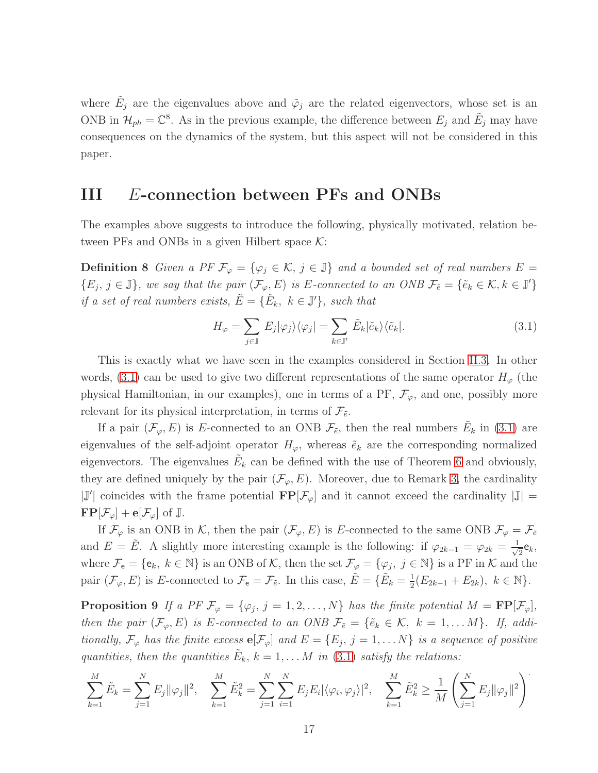where  $\tilde{E}_j$  are the eigenvalues above and  $\tilde{\varphi}_j$  are the related eigenvectors, whose set is an ONB in  $\mathcal{H}_{ph} = \mathbb{C}^8$ . As in the previous example, the difference between  $E_j$  and  $\tilde{E}_j$  may have consequences on the dynamics of the system, but this aspect will not be considered in this paper.

### <span id="page-16-0"></span>III E-connection between PFs and ONBs

<span id="page-16-1"></span>The examples above suggests to introduce the following, physically motivated, relation between PFs and ONBs in a given Hilbert space  $K$ :

**Definition 8** *Given a PF*  $\mathcal{F}_{\varphi} = {\varphi_i \in \mathcal{K}, j \in \mathbb{J}}$  *and a bounded set of real numbers*  $E =$  $\{E_j, j \in \mathbb{J}\}\$ , we say that the pair  $(\mathcal{F}_{\varphi}, E)$  is E-connected to an ONB  $\mathcal{F}_{\tilde{e}} = \{\tilde{e}_k \in \mathcal{K}, k \in \mathbb{J}'\}\$ *if a set of real numbers exists,*  $\tilde{E} = \{ \tilde{E}_k, k \in \mathbb{J}' \}$ *, such that* 

<span id="page-16-2"></span>
$$
H_{\varphi} = \sum_{j \in \mathbb{J}} E_j |\varphi_j\rangle \langle \varphi_j| = \sum_{k \in \mathbb{J}'} \tilde{E}_k |\tilde{e}_k\rangle \langle \tilde{e}_k|.
$$
 (3.1)

This is exactly what we have seen in the examples considered in Section [II.3.](#page-7-0) In other words, [\(3.1\)](#page-16-2) can be used to give two different representations of the same operator  $H_{\varphi}$  (the physical Hamiltonian, in our examples), one in terms of a  $PF$ ,  $\mathcal{F}_{\varphi}$ , and one, possibly more relevant for its physical interpretation, in terms of  $\mathcal{F}_{\tilde{e}}$ .

If a pair  $(\mathcal{F}_{\varphi}, E)$  is E-connected to an ONB  $\mathcal{F}_{\tilde{e}}$ , then the real numbers  $\tilde{E}_k$  in [\(3.1\)](#page-16-2) are eigenvalues of the self-adjoint operator  $H_{\varphi}$ , whereas  $\tilde{e}_k$  are the corresponding normalized eigenvectors. The eigenvalues  $\tilde{E}_k$  can be defined with the use of Theorem [6](#page-5-1) and obviously, they are defined uniquely by the pair  $(\mathcal{F}_{\varphi}, E)$ . Moreover, due to Remark [3,](#page-4-6) the cardinality  $|\mathbb{J}'|$  coincides with the frame potential  $\mathbf{FP}[\mathcal{F}_{\varphi}]$  and it cannot exceed the cardinality  $|\mathbb{J}| =$  $\mathbf{FP}[\mathcal{F}_{\varphi}]+\mathbf{e}[\mathcal{F}_{\varphi}]$  of J.

If  $\mathcal{F}_{\varphi}$  is an ONB in K, then the pair  $(\mathcal{F}_{\varphi}, E)$  is E-connected to the same ONB  $\mathcal{F}_{\varphi} = \mathcal{F}_{\tilde{e}}$ and  $E = \tilde{E}$ . A slightly more interesting example is the following: if  $\varphi_{2k-1} = \varphi_{2k} = \frac{1}{\sqrt{k}}$  $\frac{1}{2}$ e<sub>k</sub>, where  $\mathcal{F}_e = \{e_k, k \in \mathbb{N}\}\$ is an ONB of  $\mathcal{K}$ , then the set  $\mathcal{F}_\varphi = \{\varphi_j, j \in \mathbb{N}\}\$ is a PF in  $\mathcal{K}$  and the pair  $(\mathcal{F}_{\varphi}, E)$  is E-connected to  $\mathcal{F}_{e} = \mathcal{F}_{\tilde{e}}$ . In this case,  $\tilde{E} = \{ \tilde{E}_{k} = \frac{1}{2} \}$  $\frac{1}{2}(E_{2k-1}+E_{2k}), k \in \mathbb{N}$ .

<span id="page-16-3"></span>**Proposition 9** If a PF  $\mathcal{F}_{\varphi} = {\varphi_j, j = 1, 2, ..., N}$  has the finite potential  $M = \mathbf{FP}[\mathcal{F}_{\varphi}],$ *then the pair*  $(\mathcal{F}_{\varphi}, E)$  *is* E-connected to an ONB  $\mathcal{F}_{\tilde{e}} = {\tilde{e}_k \in \mathcal{K}, k = 1, \ldots M}$ . If, addi*tionally,*  $\mathcal{F}_{\varphi}$  *has the finite excess*  $e[\mathcal{F}_{\varphi}]$  *and*  $E = \{E_j, j = 1, \dots N\}$  *is a sequence of positive quantities, then the quantities*  $\tilde{E}_k$ ,  $k = 1, \ldots M$  *in* [\(3.1\)](#page-16-2) *satisfy the relations:* 

$$
\sum_{k=1}^{M} \tilde{E}_k = \sum_{j=1}^{N} E_j ||\varphi_j||^2, \quad \sum_{k=1}^{M} \tilde{E}_k^2 = \sum_{j=1}^{N} \sum_{i=1}^{N} E_j E_i |\langle \varphi_i, \varphi_j \rangle|^2, \quad \sum_{k=1}^{M} \tilde{E}_k^2 \ge \frac{1}{M} \left( \sum_{j=1}^{N} E_j ||\varphi_j||^2 \right)^2
$$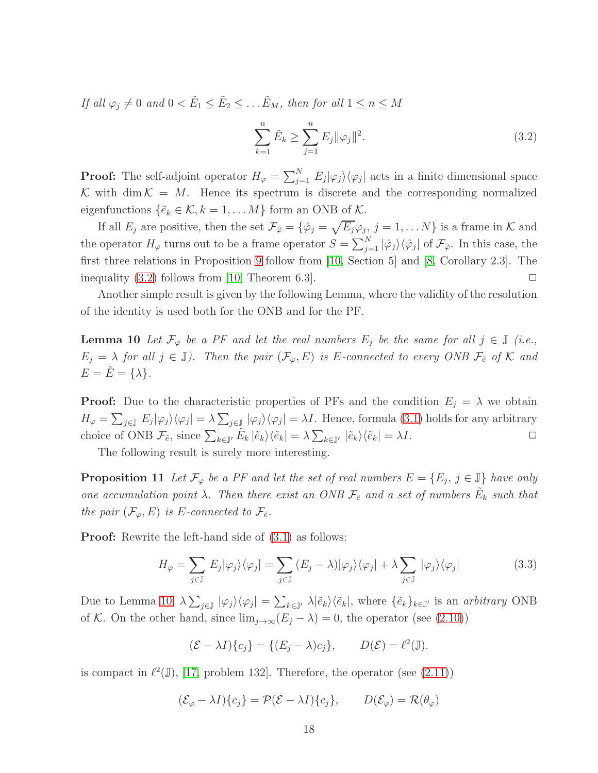*If all*  $\varphi_j \neq 0$  *and*  $0 < \tilde{E}_1 \leq \tilde{E}_2 \leq \ldots \tilde{E}_M$ *, then for all*  $1 \leq n \leq M$ 

<span id="page-17-0"></span>
$$
\sum_{k=1}^{n} \tilde{E}_k \ge \sum_{j=1}^{n} E_j \|\varphi_j\|^2.
$$
\n(3.2)

**Proof:** The self-adjoint operator  $H_{\varphi} = \sum_{j=1}^{N} E_j |\varphi_j\rangle \langle \varphi_j|$  acts in a finite dimensional space K with dim  $K = M$ . Hence its spectrum is discrete and the corresponding normalized eigenfunctions  $\{\tilde{e}_k \in \mathcal{K}, k = 1, \ldots M\}$  form an ONB of  $\mathcal{K}$ .

If all  $E_j$  are positive, then the set  $\mathcal{F}_{\hat{\varphi}} = \{\hat{\varphi}_j = \sqrt{E_j \varphi_j}, j = 1, \dots N\}$  is a frame in K and the operator  $H_{\varphi}$  turns out to be a frame operator  $S = \sum_{j=1}^{N} |\hat{\varphi}_j\rangle\langle\hat{\varphi}_j|$  of  $\mathcal{F}_{\hat{\varphi}}$ . In this case, the first three relations in Proposition [9](#page-16-3) follow from [\[10,](#page-19-5) Section 5] and [\[8,](#page-19-4) Corollary 2.3]. The inequality [\(3.2\)](#page-17-0) follows from [\[10,](#page-19-5) Theorem 6.3].  $\square$ 

<span id="page-17-1"></span>Another simple result is given by the following Lemma, where the validity of the resolution of the identity is used both for the ONB and for the PF.

**Lemma 10** Let  $\mathcal{F}_{\varphi}$  be a PF and let the real numbers  $E_j$  be the same for all  $j \in \mathbb{J}$  (i.e.,  $E_j = \lambda$  *for all*  $j \in \mathbb{J}$ *). Then the pair*  $(\mathcal{F}_{\varphi}, E)$  *is E*-connected to every ONB  $\mathcal{F}_{\tilde{e}}$  of K and  $E = \tilde{E} = {\lambda}.$ 

**Proof:** Due to the characteristic properties of PFs and the condition  $E_i = \lambda$  we obtain  $H_{\varphi} = \sum_{j\in\mathbb{J}} E_j |\varphi_j\rangle \langle \varphi_j| = \lambda \sum_{j\in\mathbb{J}} |\varphi_j\rangle \langle \varphi_j| = \lambda I$ . Hence, formula [\(3.1\)](#page-16-2) holds for any arbitrary choice of ONB  $\mathcal{F}_{\tilde{e}}$ , since  $\sum_{k\in\mathbb{J}'}\tilde{E}_k |\tilde{e}_k\rangle\langle\tilde{e}_k| = \lambda \sum_{k\in\mathbb{J}'} |\tilde{e}_k\rangle\langle\tilde{e}_k| = \lambda I$ .

The following result is surely more interesting.

**Proposition 11** Let  $\mathcal{F}_{\varphi}$  be a PF and let the set of real numbers  $E = \{E_j, j \in \mathbb{J}\}\$  have only *one accumulation point*  $\lambda$ . Then there exist an ONB  $\mathcal{F}_{\tilde{e}}$  and a set of numbers  $\tilde{E}_k$  such that *the pair*  $(\mathcal{F}_{\varphi}, E)$  *is E*-connected to  $\mathcal{F}_{\tilde{e}}$ *.* 

**Proof:** Rewrite the left-hand side of  $(3.1)$  as follows:

<span id="page-17-3"></span><span id="page-17-2"></span>
$$
H_{\varphi} = \sum_{j \in \mathbb{J}} E_j |\varphi_j\rangle \langle \varphi_j| = \sum_{j \in \mathbb{J}} (E_j - \lambda) |\varphi_j\rangle \langle \varphi_j| + \lambda \sum_{j \in \mathbb{J}} |\varphi_j\rangle \langle \varphi_j| \tag{3.3}
$$

Due to Lemma [10,](#page-17-1)  $\lambda \sum_{j\in\mathbb{J}} |\varphi_j\rangle \langle \varphi_j| = \sum_{k\in\mathbb{J}'} \lambda |\tilde{e}_k\rangle \langle \tilde{e}_k|$ , where  $\{\tilde{e}_k\}_{k\in\mathbb{J}'}$  is an *arbitrary* ONB of K. On the other hand, since  $\lim_{j\to\infty} (E_j - \lambda) = 0$ , the operator (see [\(2.10\)](#page-6-4))

$$
(\mathcal{E} - \lambda I)\{c_j\} = \{(E_j - \lambda)c_j\}, \qquad D(\mathcal{E}) = \ell^2(\mathbb{J}).
$$

is compact in  $\ell^2(\mathbb{J})$ , [\[17,](#page-20-11) problem 132]. Therefore, the operator (see [\(2.11\)](#page-6-2))

$$
(\mathcal{E}_{\varphi} - \lambda I)\{c_j\} = \mathcal{P}(\mathcal{E} - \lambda I)\{c_j\}, \qquad D(\mathcal{E}_{\varphi}) = \mathcal{R}(\theta_{\varphi})
$$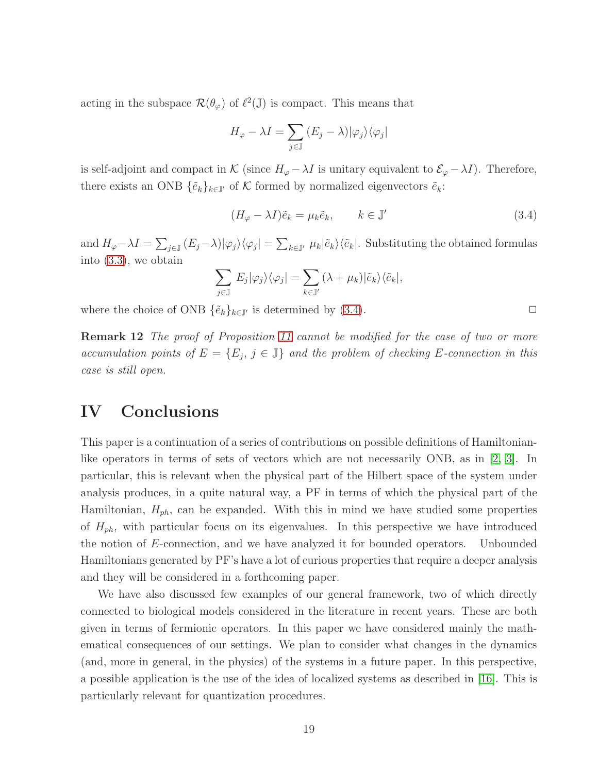acting in the subspace  $\mathcal{R}(\theta_{\varphi})$  of  $\ell^2(\mathbb{J})$  is compact. This means that

$$
H_{\varphi} - \lambda I = \sum_{j \in \mathbb{J}} (E_j - \lambda) |\varphi_j\rangle \langle \varphi_j|
$$

is self-adjoint and compact in K (since  $H_{\varphi} - \lambda I$  is unitary equivalent to  $\mathcal{E}_{\varphi} - \lambda I$ ). Therefore, there exists an ONB  $\{\tilde{e}_k\}_{k\in\mathbb{J}'}$  of K formed by normalized eigenvectors  $\tilde{e}_k$ :

<span id="page-18-1"></span>
$$
(H_{\varphi} - \lambda I)\tilde{e}_k = \mu_k \tilde{e}_k, \qquad k \in \mathbb{J}'
$$
\n(3.4)

and  $H_{\varphi}-\lambda I = \sum_{j\in\mathbb{J}}{(E_j-\lambda)|\varphi_j\rangle\langle\varphi_j|} = \sum_{k\in\mathbb{J}'}\mu_k|\tilde{e}_k\rangle\langle\tilde{e}_k|$ . Substituting the obtained formulas into [\(3.3\)](#page-17-2), we obtain

$$
\sum_{j\in\mathbb{J}} E_j |\varphi_j\rangle \langle \varphi_j| = \sum_{k\in\mathbb{J}'} (\lambda + \mu_k) |\tilde{e}_k\rangle \langle \tilde{e}_k|,
$$

where the choice of ONB  $\{\tilde{e}_k\}_{k\in\mathbb{J}'}$  is determined by [\(3.4\)](#page-18-1).

Remark 12 *The proof of Proposition [11](#page-17-3) cannot be modified for the case of two or more accumulation points of*  $E = \{E_j, j \in \mathbb{J}\}\$ and the problem of checking E-connection in this *case is still open.*

### <span id="page-18-0"></span>IV Conclusions

This paper is a continuation of a series of contributions on possible definitions of Hamiltonianlike operators in terms of sets of vectors which are not necessarily ONB, as in [\[2,](#page-19-0) [3\]](#page-19-1). In particular, this is relevant when the physical part of the Hilbert space of the system under analysis produces, in a quite natural way, a PF in terms of which the physical part of the Hamiltonian,  $H_{ph}$ , can be expanded. With this in mind we have studied some properties of  $H_{ph}$ , with particular focus on its eigenvalues. In this perspective we have introduced the notion of E-connection, and we have analyzed it for bounded operators. Unbounded Hamiltonians generated by PF's have a lot of curious properties that require a deeper analysis and they will be considered in a forthcoming paper.

We have also discussed few examples of our general framework, two of which directly connected to biological models considered in the literature in recent years. These are both given in terms of fermionic operators. In this paper we have considered mainly the mathematical consequences of our settings. We plan to consider what changes in the dynamics (and, more in general, in the physics) of the systems in a future paper. In this perspective, a possible application is the use of the idea of localized systems as described in [\[16\]](#page-20-2). This is particularly relevant for quantization procedures.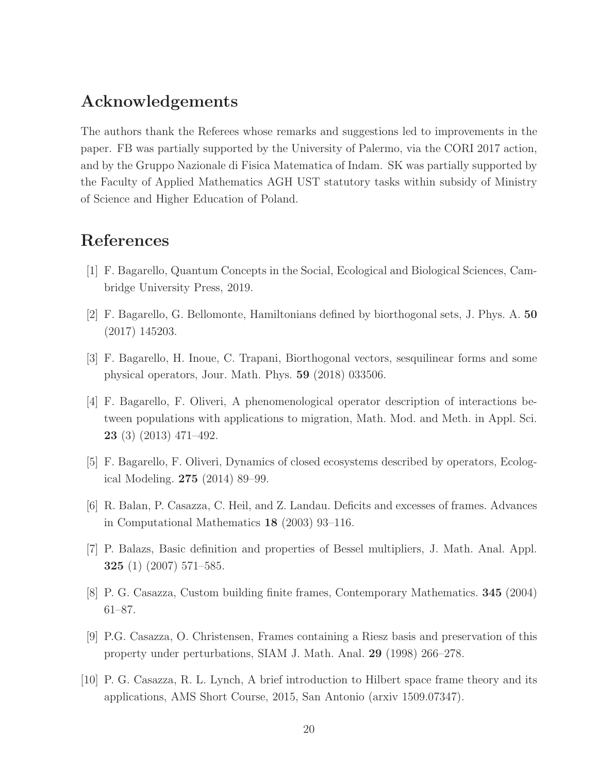### Acknowledgements

The authors thank the Referees whose remarks and suggestions led to improvements in the paper. FB was partially supported by the University of Palermo, via the CORI 2017 action, and by the Gruppo Nazionale di Fisica Matematica of Indam. SK was partially supported by the Faculty of Applied Mathematics AGH UST statutory tasks within subsidy of Ministry of Science and Higher Education of Poland.

## <span id="page-19-9"></span>References

- <span id="page-19-0"></span>[1] F. Bagarello, Quantum Concepts in the Social, Ecological and Biological Sciences, Cambridge University Press, 2019.
- <span id="page-19-1"></span>[2] F. Bagarello, G. Bellomonte, Hamiltonians defined by biorthogonal sets, J. Phys. A. 50 (2017) 145203.
- <span id="page-19-7"></span>[3] F. Bagarello, H. Inoue, C. Trapani, Biorthogonal vectors, sesquilinear forms and some physical operators, Jour. Math. Phys. 59 (2018) 033506.
- [4] F. Bagarello, F. Oliveri, A phenomenological operator description of interactions between populations with applications to migration, Math. Mod. and Meth. in Appl. Sci. 23 (3) (2013) 471–492.
- <span id="page-19-8"></span><span id="page-19-3"></span>[5] F. Bagarello, F. Oliveri, Dynamics of closed ecosystems described by operators, Ecological Modeling. 275 (2014) 89–99.
- <span id="page-19-2"></span>[6] R. Balan, P. Casazza, C. Heil, and Z. Landau. Deficits and excesses of frames. Advances in Computational Mathematics 18 (2003) 93–116.
- <span id="page-19-4"></span>[7] P. Balazs, Basic definition and properties of Bessel multipliers, J. Math. Anal. Appl. 325 (1) (2007) 571–585.
- <span id="page-19-6"></span>[8] P. G. Casazza, Custom building finite frames, Contemporary Mathematics. 345 (2004) 61–87.
- <span id="page-19-5"></span>[9] P.G. Casazza, O. Christensen, Frames containing a Riesz basis and preservation of this property under perturbations, SIAM J. Math. Anal. 29 (1998) 266–278.
- [10] P. G. Casazza, R. L. Lynch, A brief introduction to Hilbert space frame theory and its applications, AMS Short Course, 2015, San Antonio (arxiv 1509.07347).